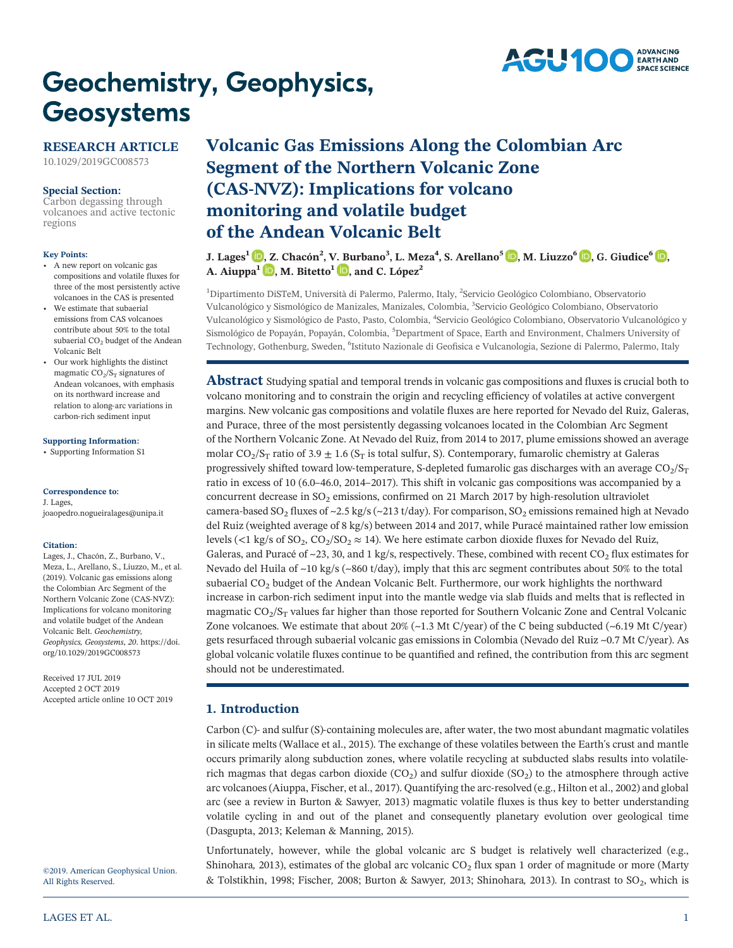

# **Geochemistry, Geophysics,** Geosystems

# RESEARCH ARTICLE

[10.1029/2019GC008573](http://dx.doi.org/10.1029/2019GC008573)

# Special Section:

[Carbon degassing through](https://agupubs.onlinelibrary.wiley.com/doi/toc/10.1002/(ISSN)1525-2027.DEGASSING1) [volcanoes and active tectonic](https://agupubs.onlinelibrary.wiley.com/doi/toc/10.1002/(ISSN)1525-2027.DEGASSING1) [regions](https://agupubs.onlinelibrary.wiley.com/doi/toc/10.1002/(ISSN)1525-2027.DEGASSING1)

#### Key Points:

- A new report on volcanic gas compositions and volatile fluxes for three of the most persistently active volcanoes in the CAS is presented
- We estimate that subaerial emissions from CAS volcanoes contribute about 50% to the total subaerial CO<sub>2</sub> budget of the Andean Volcanic Belt
- Our work highlights the distinct magmatic  $CO<sub>2</sub>/S<sub>T</sub>$  signatures of Andean volcanoes, with emphasis on its northward increase and relation to along‐arc variations in carbon‐rich sediment input

### [Supporting Information:](http://dx.doi.org/10.1029/2019GC008573)

[•](http://dx.doi.org/10.1029/2019GC008573) [Supporting Information S1](http://dx.doi.org/10.1029/2019GC008573)

#### Correspondence to:

J. Lages, [joaopedro.nogueiralages@unipa.it](mailto:joaopedro.nogueiralages@unipa.it)

#### Citation:

Lages, J., Chacón, Z., Burbano, V., Meza, L., Arellano, S., Liuzzo, M., et al. (2019). Volcanic gas emissions along the Colombian Arc Segment of the Northern Volcanic Zone (CAS‐NVZ): Implications for volcano monitoring and volatile budget of the Andean Volcanic Belt. Geochemistry, Geophysics, Geosystems, 20. [https://doi.](https://doi.org/10.1029/2019GC008573) [org/10.1029/2019GC008573](https://doi.org/10.1029/2019GC008573)

Received 17 JUL 2019 Accepted 2 OCT 2019 Accepted article online 10 OCT 2019

©2019. American Geophysical Union. All Rights Reserved.

# Volcanic Gas Emissions Along the Colombian Arc Segment of the Northern Volcanic Zone **Volcanic Gas Emissions Along the Contains for Segment of the Northern Volcanic Zo**<br>(CAS-NVZ): Implications for volcano monitoring and volatile budget of the Andean Volcanic Belt

J. Lages<sup>1</sup> **D**, Z. Chacón<sup>2</sup>, V. Burbano<sup>3</sup>, L. Meza<sup>4</sup>, S. Arellano<sup>5</sup> **D**, M. Liuzzo<sup>6</sup> D, G. Giudice<sup>6</sup> D, A. Aiuppa<sup>1</sup>  $\Box$ [,](https://orcid.org/0000-0003-0460-9772) M. Bitetto<sup>1</sup>  $\Box$ , and C. López<sup>2</sup>

<sup>1</sup>Dipartimento DiSTeM, Università di Palermo, Palermo, Italy, <sup>2</sup>Servicio Geológico Colombiano, Observatorio Vulcanológico y Sismológico de Manizales, Manizales, Colombia, <sup>3</sup> Servicio Geológico Colombiano, Observatorio Vulcanológico y Sismológico de Pasto, Pasto, Colombia, <sup>4</sup>Servicio Geológico Colombiano, Observatorio Vulcanológico y Sismológico de Popayán, Popayán, Colombia, <sup>5</sup>Department of Space, Earth and Environment, Chalmers University of Technology, Gothenburg, Sweden, <sup>6</sup>Istituto Nazionale di Geofisica e Vulcanologia, Sezione di Palermo, Palermo, Italy

**Abstract** Studying spatial and temporal trends in volcanic gas compositions and fluxes is crucial both to volcano monitoring and to constrain the origin and recycling efficiency of volatiles at active convergent margins. New volcanic gas compositions and volatile fluxes are here reported for Nevado del Ruiz, Galeras, and Purace, three of the most persistently degassing volcanoes located in the Colombian Arc Segment of the Northern Volcanic Zone. At Nevado del Ruiz, from 2014 to 2017, plume emissions showed an average molar CO<sub>2</sub>/S<sub>T</sub> ratio of 3.9  $\pm$  1.6 (S<sub>T</sub> is total sulfur, S). Contemporary, fumarolic chemistry at Galeras progressively shifted toward low-temperature, S-depleted fumarolic gas discharges with an average  $CO_2/S_T$ ratio in excess of 10 (6.0–46.0, 2014–2017). This shift in volcanic gas compositions was accompanied by a concurrent decrease in  $SO_2$  emissions, confirmed on 21 March 2017 by high-resolution ultraviolet camera-based SO<sub>2</sub> fluxes of ~2.5 kg/s (~213 t/day). For comparison, SO<sub>2</sub> emissions remained high at Nevado del Ruiz (weighted average of 8 kg/s) between 2014 and 2017, while Puracé maintained rather low emission levels (<1 kg/s of SO<sub>2</sub>, CO<sub>2</sub>/SO<sub>2</sub>  $\approx$  14). We here estimate carbon dioxide fluxes for Nevado del Ruiz, Galeras, and Puracé of  $\sim$ 23, 30, and 1 kg/s, respectively. These, combined with recent CO<sub>2</sub> flux estimates for Nevado del Huila of  $\sim$ 10 kg/s ( $\sim$ 860 t/day), imply that this arc segment contributes about 50% to the total subaerial  $CO<sub>2</sub>$  budget of the Andean Volcanic Belt. Furthermore, our work highlights the northward increase in carbon-rich sediment input into the mantle wedge via slab fluids and melts that is reflected in magmatic  $CO_2/S_T$  values far higher than those reported for Southern Volcanic Zone and Central Volcanic Zone volcanoes. We estimate that about  $20\%$  ( $\sim$ 1.3 Mt C/year) of the C being subducted ( $\sim$ 6.19 Mt C/year) gets resurfaced through subaerial volcanic gas emissions in Colombia (Nevado del Ruiz ~0.7 Mt C/year). As global volcanic volatile fluxes continue to be quantified and refined, the contribution from this arc segment should not be underestimated.

# 1. Introduction

Carbon (C)– and sulfur (S)-containing molecules are, after water, the two most abundant magmatic volatiles in silicate melts (Wallace et al., 2015). The exchange of these volatiles between the Earth's crust and mantle occurs primarily along subduction zones, where volatile recycling at subducted slabs results into volatile‐ rich magmas that degas carbon dioxide  $(CO_2)$  and sulfur dioxide  $(SO_2)$  to the atmosphere through active arc volcanoes (Aiuppa, Fischer, et al., 2017). Quantifying the arc-resolved (e.g., Hilton et al., 2002) and global arc (see a review in Burton & Sawyer, 2013) magmatic volatile fluxes is thus key to better understanding volatile cycling in and out of the planet and consequently planetary evolution over geological time (Dasgupta, 2013; Keleman & Manning, 2015).

Unfortunately, however, while the global volcanic arc S budget is relatively well characterized (e.g., Shinohara, 2013), estimates of the global arc volcanic  $CO<sub>2</sub>$  flux span 1 order of magnitude or more (Marty & Tolstikhin, 1998; Fischer, 2008; Burton & Sawyer, 2013; Shinohara, 2013). In contrast to  $SO_2$ , which is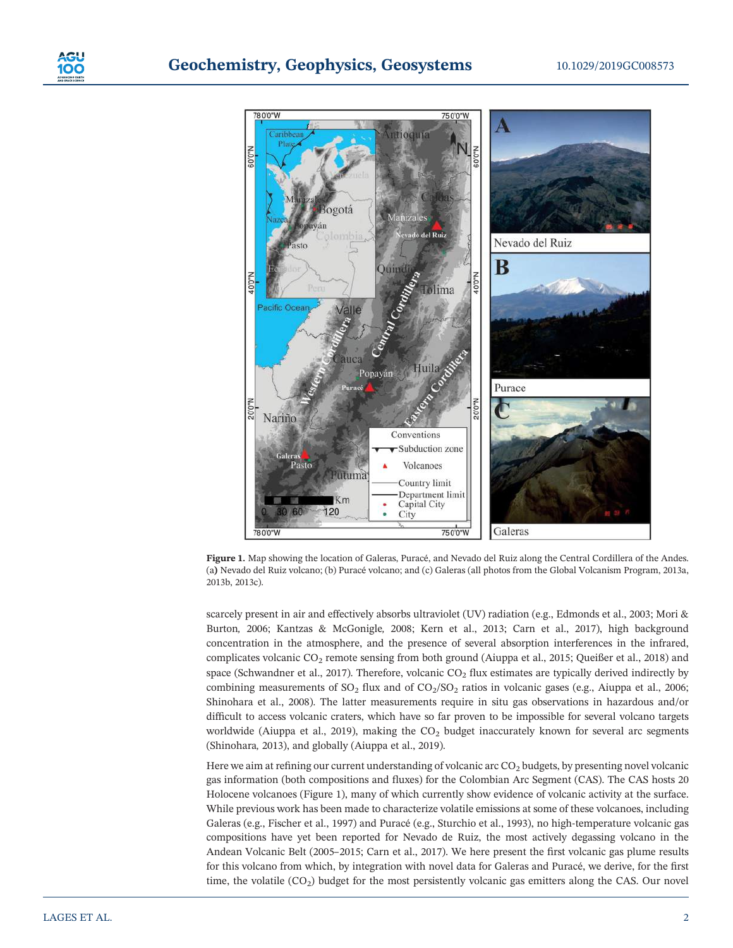



Figure 1. Map showing the location of Galeras, Puracé, and Nevado del Ruiz along the Central Cordillera of the Andes. (a) Nevado del Ruiz volcano; (b) Puracé volcano; and (c) Galeras (all photos from the Global Volcanism Program, 2013a, 2013b, 2013c).

scarcely present in air and effectively absorbs ultraviolet (UV) radiation (e.g., Edmonds et al., 2003; Mori & Burton, 2006; Kantzas & McGonigle, 2008; Kern et al., 2013; Carn et al., 2017), high background concentration in the atmosphere, and the presence of several absorption interferences in the infrared, complicates volcanic CO2 remote sensing from both ground (Aiuppa et al., 2015; Queißer et al., 2018) and space (Schwandner et al., 2017). Therefore, volcanic  $CO<sub>2</sub>$  flux estimates are typically derived indirectly by combining measurements of  $SO_2$  flux and of  $CO_2/SO_2$  ratios in volcanic gases (e.g., Aiuppa et al., 2006; Shinohara et al., 2008). The latter measurements require in situ gas observations in hazardous and/or difficult to access volcanic craters, which have so far proven to be impossible for several volcano targets worldwide (Aiuppa et al., 2019), making the CO<sub>2</sub> budget inaccurately known for several arc segments (Shinohara, 2013), and globally (Aiuppa et al., 2019).

Here we aim at refining our current understanding of volcanic arc CO<sub>2</sub> budgets, by presenting novel volcanic gas information (both compositions and fluxes) for the Colombian Arc Segment (CAS). The CAS hosts 20 Holocene volcanoes (Figure 1), many of which currently show evidence of volcanic activity at the surface. While previous work has been made to characterize volatile emissions at some of these volcanoes, including Galeras (e.g., Fischer et al., 1997) and Puracé (e.g., Sturchio et al., 1993), no high‐temperature volcanic gas compositions have yet been reported for Nevado de Ruiz, the most actively degassing volcano in the Andean Volcanic Belt (2005–2015; Carn et al., 2017). We here present the first volcanic gas plume results for this volcano from which, by integration with novel data for Galeras and Puracé, we derive, for the first time, the volatile  $(CO_2)$  budget for the most persistently volcanic gas emitters along the CAS. Our novel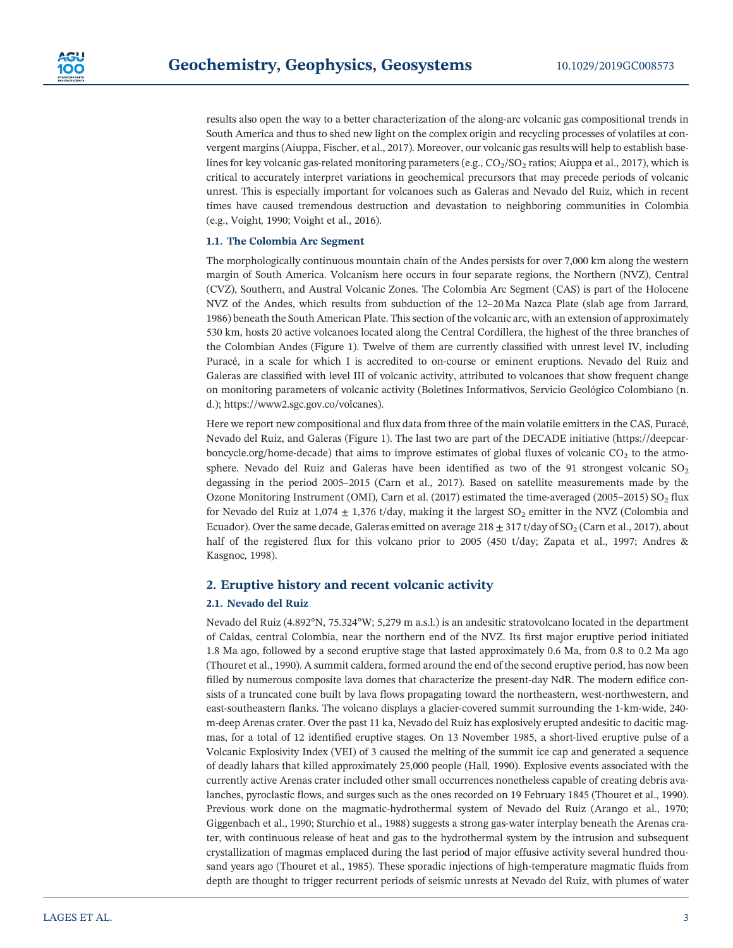

results also open the way to a better characterization of the along‐arc volcanic gas compositional trends in South America and thus to shed new light on the complex origin and recycling processes of volatiles at convergent margins (Aiuppa, Fischer, et al., 2017). Moreover, our volcanic gas results will help to establish baselines for key volcanic gas-related monitoring parameters (e.g.,  $CO_2/SO_2$  ratios; Aiuppa et al., 2017), which is critical to accurately interpret variations in geochemical precursors that may precede periods of volcanic unrest. This is especially important for volcanoes such as Galeras and Nevado del Ruiz, which in recent times have caused tremendous destruction and devastation to neighboring communities in Colombia (e.g., Voight, 1990; Voight et al., 2016).

# 1.1. The Colombia Arc Segment

The morphologically continuous mountain chain of the Andes persists for over 7,000 km along the western margin of South America. Volcanism here occurs in four separate regions, the Northern (NVZ), Central (CVZ), Southern, and Austral Volcanic Zones. The Colombia Arc Segment (CAS) is part of the Holocene NVZ of the Andes, which results from subduction of the 12–20 Ma Nazca Plate (slab age from Jarrard, 1986) beneath the South American Plate. This section of the volcanic arc, with an extension of approximately 530 km, hosts 20 active volcanoes located along the Central Cordillera, the highest of the three branches of the Colombian Andes (Figure 1). Twelve of them are currently classified with unrest level IV, including Puracé, in a scale for which I is accredited to on-course or eminent eruptions. Nevado del Ruiz and Galeras are classified with level III of volcanic activity, attributed to volcanoes that show frequent change on monitoring parameters of volcanic activity (Boletines Informativos, Servicio Geológico Colombiano (n. d.); https://www2.sgc.gov.co/volcanes).

Here we report new compositional and flux data from three of the main volatile emitters in the CAS, Puracé, Nevado del Ruiz, and Galeras (Figure 1). The last two are part of the DECADE initiative (https://deepcarboncycle.org/home-decade) that aims to improve estimates of global fluxes of volcanic  $CO<sub>2</sub>$  to the atmosphere. Nevado del Ruiz and Galeras have been identified as two of the 91 strongest volcanic  $SO<sub>2</sub>$ degassing in the period 2005–2015 (Carn et al., 2017). Based on satellite measurements made by the Ozone Monitoring Instrument (OMI), Carn et al. (2017) estimated the time-averaged (2005–2015) SO<sub>2</sub> flux for Nevado del Ruiz at 1,074  $\pm$  1,376 t/day, making it the largest SO<sub>2</sub> emitter in the NVZ (Colombia and Ecuador). Over the same decade, Galeras emitted on average  $218 \pm 317$  t/day of SO<sub>2</sub> (Carn et al., 2017), about half of the registered flux for this volcano prior to 2005 (450 t/day; Zapata et al., 1997; Andres & Kasgnoc, 1998).

# 2. Eruptive history and recent volcanic activity

# 2.1. Nevado del Ruiz

Nevado del Ruiz (4.892°N, 75.324°W; 5,279 m a.s.l.) is an andesitic stratovolcano located in the department of Caldas, central Colombia, near the northern end of the NVZ. Its first major eruptive period initiated 1.8 Ma ago, followed by a second eruptive stage that lasted approximately 0.6 Ma, from 0.8 to 0.2 Ma ago (Thouret et al., 1990). A summit caldera, formed around the end of the second eruptive period, has now been filled by numerous composite lava domes that characterize the present-day NdR. The modern edifice consists of a truncated cone built by lava flows propagating toward the northeastern, west-northwestern, and east-southeastern flanks. The volcano displays a glacier-covered summit surrounding the 1-km-wide, 240m-deep Arenas crater. Over the past 11 ka, Nevado del Ruiz has explosively erupted andesitic to dacitic magmas, for a total of 12 identified eruptive stages. On 13 November 1985, a short‐lived eruptive pulse of a Volcanic Explosivity Index (VEI) of 3 caused the melting of the summit ice cap and generated a sequence of deadly lahars that killed approximately 25,000 people (Hall, 1990). Explosive events associated with the currently active Arenas crater included other small occurrences nonetheless capable of creating debris avalanches, pyroclastic flows, and surges such as the ones recorded on 19 February 1845 (Thouret et al., 1990). Previous work done on the magmatic‐hydrothermal system of Nevado del Ruiz (Arango et al., 1970; Giggenbach et al., 1990; Sturchio et al., 1988) suggests a strong gas-water interplay beneath the Arenas crater, with continuous release of heat and gas to the hydrothermal system by the intrusion and subsequent crystallization of magmas emplaced during the last period of major effusive activity several hundred thousand years ago (Thouret et al., 1985). These sporadic injections of high-temperature magmatic fluids from depth are thought to trigger recurrent periods of seismic unrests at Nevado del Ruiz, with plumes of water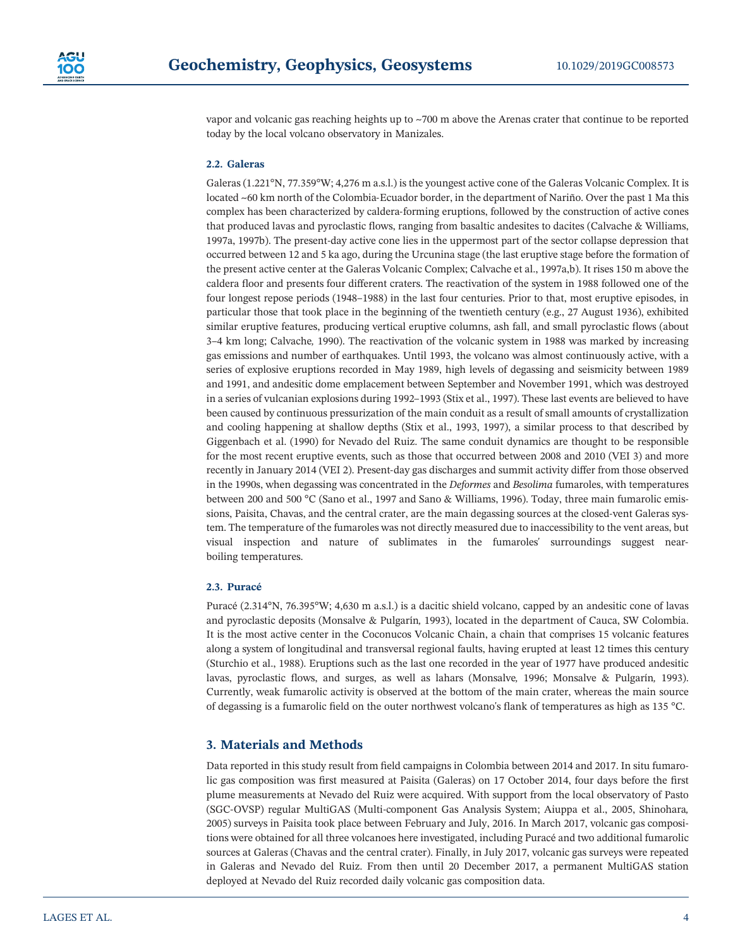

vapor and volcanic gas reaching heights up to ~700 m above the Arenas crater that continue to be reported today by the local volcano observatory in Manizales.

# 2.2. Galeras

Galeras (1.221°N, 77.359°W; 4,276 m a.s.l.) is the youngest active cone of the Galeras Volcanic Complex. It is located ~60 km north of the Colombia‐Ecuador border, in the department of Nariño. Over the past 1 Ma this complex has been characterized by caldera‐forming eruptions, followed by the construction of active cones that produced lavas and pyroclastic flows, ranging from basaltic andesites to dacites (Calvache & Williams, 1997a, 1997b). The present‐day active cone lies in the uppermost part of the sector collapse depression that occurred between 12 and 5 ka ago, during the Urcunina stage (the last eruptive stage before the formation of the present active center at the Galeras Volcanic Complex; Calvache et al., 1997a,b). It rises 150 m above the caldera floor and presents four different craters. The reactivation of the system in 1988 followed one of the four longest repose periods (1948–1988) in the last four centuries. Prior to that, most eruptive episodes, in particular those that took place in the beginning of the twentieth century (e.g., 27 August 1936), exhibited similar eruptive features, producing vertical eruptive columns, ash fall, and small pyroclastic flows (about 3–4 km long; Calvache, 1990). The reactivation of the volcanic system in 1988 was marked by increasing gas emissions and number of earthquakes. Until 1993, the volcano was almost continuously active, with a series of explosive eruptions recorded in May 1989, high levels of degassing and seismicity between 1989 and 1991, and andesitic dome emplacement between September and November 1991, which was destroyed in a series of vulcanian explosions during 1992–1993 (Stix et al., 1997). These last events are believed to have been caused by continuous pressurization of the main conduit as a result of small amounts of crystallization and cooling happening at shallow depths (Stix et al., 1993, 1997), a similar process to that described by Giggenbach et al. (1990) for Nevado del Ruiz. The same conduit dynamics are thought to be responsible for the most recent eruptive events, such as those that occurred between 2008 and 2010 (VEI 3) and more recently in January 2014 (VEI 2). Present‐day gas discharges and summit activity differ from those observed in the 1990s, when degassing was concentrated in the Deformes and Besolima fumaroles, with temperatures between 200 and 500 °C (Sano et al., 1997 and Sano & Williams, 1996). Today, three main fumarolic emissions, Paisita, Chavas, and the central crater, are the main degassing sources at the closed‐vent Galeras system. The temperature of the fumaroles was not directly measured due to inaccessibility to the vent areas, but visual inspection and nature of sublimates in the fumaroles' surroundings suggest nearboiling temperatures.

#### 2.3. Puracé

Puracé (2.314°N, 76.395°W; 4,630 m a.s.l.) is a dacitic shield volcano, capped by an andesitic cone of lavas and pyroclastic deposits (Monsalve & Pulgarín, 1993), located in the department of Cauca, SW Colombia. It is the most active center in the Coconucos Volcanic Chain, a chain that comprises 15 volcanic features along a system of longitudinal and transversal regional faults, having erupted at least 12 times this century (Sturchio et al., 1988). Eruptions such as the last one recorded in the year of 1977 have produced andesitic lavas, pyroclastic flows, and surges, as well as lahars (Monsalve, 1996; Monsalve & Pulgarín, 1993). Currently, weak fumarolic activity is observed at the bottom of the main crater, whereas the main source of degassing is a fumarolic field on the outer northwest volcano's flank of temperatures as high as 135 °C.

# 3. Materials and Methods

Data reported in this study result from field campaigns in Colombia between 2014 and 2017. In situ fumarolic gas composition was first measured at Paisita (Galeras) on 17 October 2014, four days before the first plume measurements at Nevado del Ruiz were acquired. With support from the local observatory of Pasto (SGC‐OVSP) regular MultiGAS (Multi‐component Gas Analysis System; Aiuppa et al., 2005, Shinohara, 2005) surveys in Paisita took place between February and July, 2016. In March 2017, volcanic gas compositions were obtained for all three volcanoes here investigated, including Puracé and two additional fumarolic sources at Galeras (Chavas and the central crater). Finally, in July 2017, volcanic gas surveys were repeated in Galeras and Nevado del Ruiz. From then until 20 December 2017, a permanent MultiGAS station deployed at Nevado del Ruiz recorded daily volcanic gas composition data.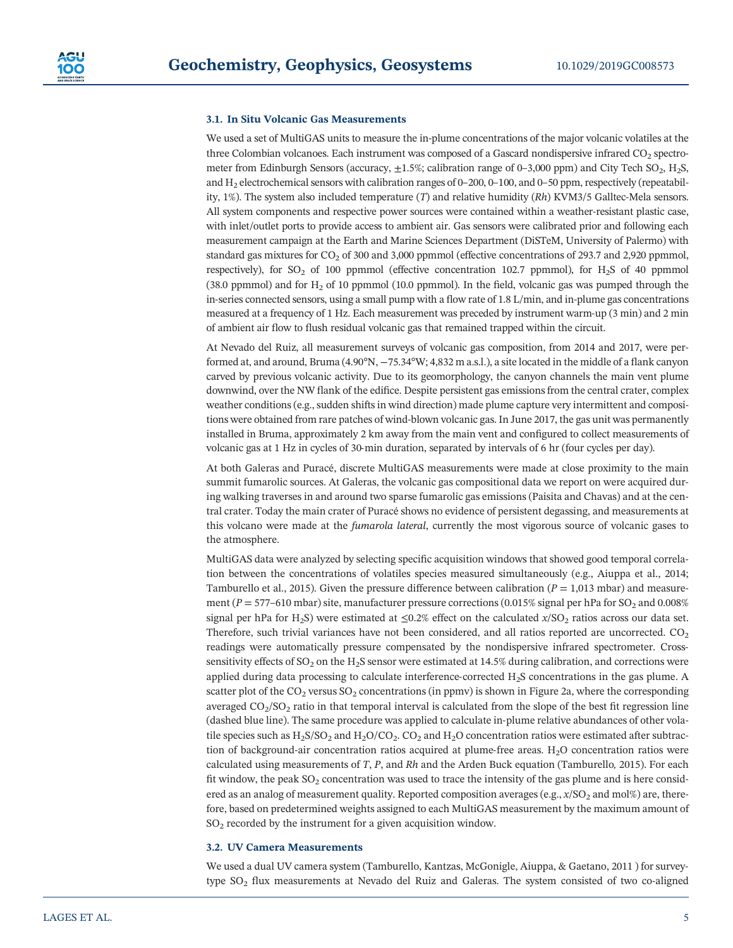### 3.1. In Situ Volcanic Gas Measurements

We used a set of MultiGAS units to measure the in-plume concentrations of the major volcanic volatiles at the three Colombian volcanoes. Each instrument was composed of a Gascard nondispersive infrared  $CO<sub>2</sub>$  spectrometer from Edinburgh Sensors (accuracy,  $\pm 1.5\%$ ; calibration range of 0–3,000 ppm) and City Tech SO<sub>2</sub>, H<sub>2</sub>S, and  $H<sub>2</sub>$  electrochemical sensors with calibration ranges of 0–200, 0–100, and 0–50 ppm, respectively (repeatability, 1%). The system also included temperature  $(T)$  and relative humidity  $(Rh)$  KVM3/5 Galltec-Mela sensors. All system components and respective power sources were contained within a weather‐resistant plastic case, with inlet/outlet ports to provide access to ambient air. Gas sensors were calibrated prior and following each measurement campaign at the Earth and Marine Sciences Department (DiSTeM, University of Palermo) with standard gas mixtures for  $CO<sub>2</sub>$  of 300 and 3,000 ppmmol (effective concentrations of 293.7 and 2,920 ppmmol, respectively), for  $SO_2$  of 100 ppmmol (effective concentration 102.7 ppmmol), for  $H_2S$  of 40 ppmmol (38.0 ppmmol) and for  $H_2$  of 10 ppmmol (10.0 ppmmol). In the field, volcanic gas was pumped through the in‐series connected sensors, using a small pump with a flow rate of 1.8 L/min, and in‐plume gas concentrations measured at a frequency of 1 Hz. Each measurement was preceded by instrument warm-up (3 min) and 2 min of ambient air flow to flush residual volcanic gas that remained trapped within the circuit.

At Nevado del Ruiz, all measurement surveys of volcanic gas composition, from 2014 and 2017, were performed at, and around, Bruma (4.90°N, −75.34°W; 4,832 m a.s.l.), a site located in the middle of a flank canyon carved by previous volcanic activity. Due to its geomorphology, the canyon channels the main vent plume downwind, over the NW flank of the edifice. Despite persistent gas emissions from the central crater, complex weather conditions (e.g., sudden shifts in wind direction) made plume capture very intermittent and compositions were obtained from rare patches of wind‐blown volcanic gas. In June 2017, the gas unit was permanently installed in Bruma, approximately 2 km away from the main vent and configured to collect measurements of volcanic gas at 1 Hz in cycles of 30‐min duration, separated by intervals of 6 hr (four cycles per day).

At both Galeras and Puracé, discrete MultiGAS measurements were made at close proximity to the main summit fumarolic sources. At Galeras, the volcanic gas compositional data we report on were acquired during walking traverses in and around two sparse fumarolic gas emissions (Paisita and Chavas) and at the central crater. Today the main crater of Puracé shows no evidence of persistent degassing, and measurements at this volcano were made at the fumarola lateral, currently the most vigorous source of volcanic gases to the atmosphere.

MultiGAS data were analyzed by selecting specific acquisition windows that showed good temporal correlation between the concentrations of volatiles species measured simultaneously (e.g., Aiuppa et al., 2014; Tamburello et al., 2015). Given the pressure difference between calibration ( $P = 1.013$  mbar) and measurement ( $P = 577-610$  mbar) site, manufacturer pressure corrections (0.015% signal per hPa for SO<sub>2</sub> and 0.008% signal per hPa for H<sub>2</sub>S) were estimated at  $\leq 0.2\%$  effect on the calculated x/SO<sub>2</sub> ratios across our data set. Therefore, such trivial variances have not been considered, and all ratios reported are uncorrected. CO<sub>2</sub> readings were automatically pressure compensated by the nondispersive infrared spectrometer. Cross‐ sensitivity effects of  $SO_2$  on the H<sub>2</sub>S sensor were estimated at 14.5% during calibration, and corrections were applied during data processing to calculate interference-corrected H<sub>2</sub>S concentrations in the gas plume. A scatter plot of the  $CO_2$  versus  $SO_2$  concentrations (in ppmv) is shown in Figure 2a, where the corresponding averaged  $CO<sub>2</sub>/SO<sub>2</sub>$  ratio in that temporal interval is calculated from the slope of the best fit regression line (dashed blue line). The same procedure was applied to calculate in‐plume relative abundances of other volatile species such as  $H_2S/SO_2$  and  $H_2O/CO_2$ .  $CO_2$  and  $H_2O$  concentration ratios were estimated after subtraction of background-air concentration ratios acquired at plume-free areas.  $H_2O$  concentration ratios were calculated using measurements of  $T$ ,  $P$ , and  $Rh$  and the Arden Buck equation (Tamburello, 2015). For each fit window, the peak  $SO_2$  concentration was used to trace the intensity of the gas plume and is here considered as an analog of measurement quality. Reported composition averages (e.g.,  $x/SO<sub>2</sub>$  and mol%) are, therefore, based on predetermined weights assigned to each MultiGAS measurement by the maximum amount of  $SO<sub>2</sub>$  recorded by the instrument for a given acquisition window.

# 3.2. UV Camera Measurements

We used a dual UV camera system (Tamburello, Kantzas, McGonigle, Aiuppa, & Gaetano, 2011) for surveytype  $SO<sub>2</sub>$  flux measurements at Nevado del Ruiz and Galeras. The system consisted of two co-aligned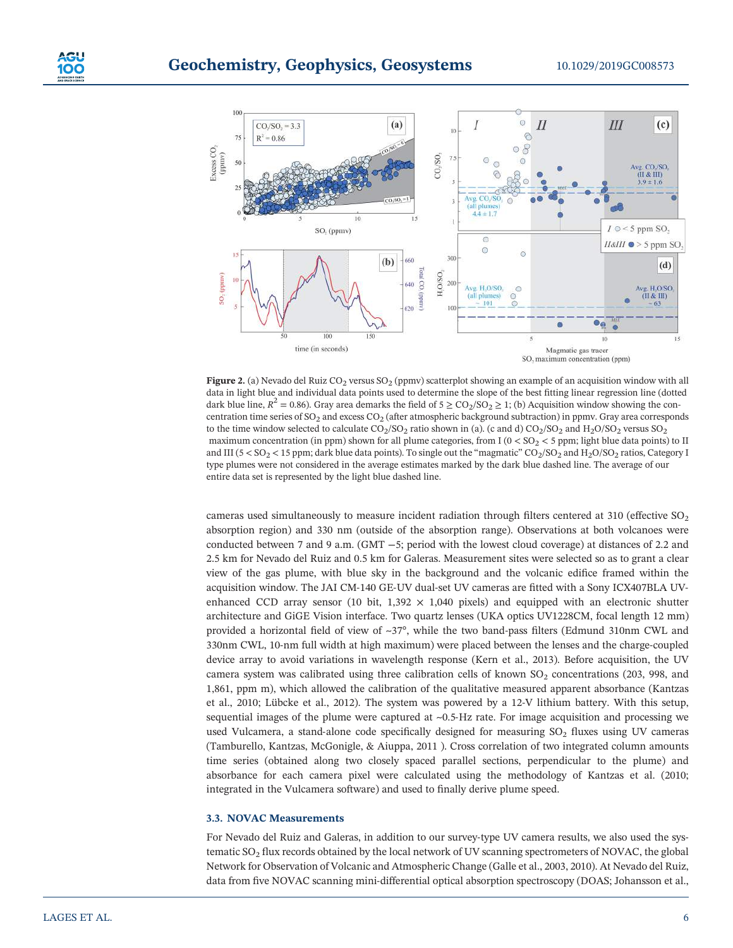

Figure 2. (a) Nevado del Ruiz  $CO_2$  versus  $SO_2$  (ppmv) scatterplot showing an example of an acquisition window with all data in light blue and individual data points used to determine the slope of the best fitting linear regression line (dotted dark blue line,  $R^2 = 0.86$ ). Gray area demarks the field of  $5 \geq CO_2/SO_2 \geq 1$ ; (b) Acquisition window showing the concentration time series of SO<sub>2</sub> and excess  $CO<sub>2</sub>$  (after atmospheric background subtraction) in ppmv. Gray area corresponds to the time window selected to calculate  $CO_2/SO_2$  ratio shown in (a). (c and d)  $CO_2/SO_2$  and  $H_2O/SO_2$  versus  $SO_2$ maximum concentration (in ppm) shown for all plume categories, from I ( $0 < SO<sub>2</sub> < 5$  ppm; light blue data points) to II and III ( $5 < SO_2 < 15$  ppm; dark blue data points). To single out the "magmatic"  $CO_2/SO_2$  and  $H_2O/SO_2$  ratios, Category I type plumes were not considered in the average estimates marked by the dark blue dashed line. The average of our entire data set is represented by the light blue dashed line.

cameras used simultaneously to measure incident radiation through filters centered at 310 (effective SO<sub>2</sub>) absorption region) and 330 nm (outside of the absorption range). Observations at both volcanoes were conducted between 7 and 9 a.m. (GMT −5; period with the lowest cloud coverage) at distances of 2.2 and 2.5 km for Nevado del Ruiz and 0.5 km for Galeras. Measurement sites were selected so as to grant a clear view of the gas plume, with blue sky in the background and the volcanic edifice framed within the acquisition window. The JAI CM‐140 GE‐UV dual‐set UV cameras are fitted with a Sony ICX407BLA UV‐ enhanced CCD array sensor (10 bit,  $1,392 \times 1,040$  pixels) and equipped with an electronic shutter architecture and GiGE Vision interface. Two quartz lenses (UKA optics UV1228CM, focal length 12 mm) provided a horizontal field of view of ~37°, while the two band‐pass filters (Edmund 310nm CWL and 330nm CWL, 10‐nm full width at high maximum) were placed between the lenses and the charge‐coupled device array to avoid variations in wavelength response (Kern et al., 2013). Before acquisition, the UV camera system was calibrated using three calibration cells of known  $SO<sub>2</sub>$  concentrations (203, 998, and 1,861, ppm m), which allowed the calibration of the qualitative measured apparent absorbance (Kantzas et al., 2010; Lübcke et al., 2012). The system was powered by a 12‐V lithium battery. With this setup, sequential images of the plume were captured at  $\sim 0.5$ -Hz rate. For image acquisition and processing we used Vulcamera, a stand-alone code specifically designed for measuring  $SO<sub>2</sub>$  fluxes using UV cameras (Tamburello, Kantzas, McGonigle, & Aiuppa, 2011 ). Cross correlation of two integrated column amounts time series (obtained along two closely spaced parallel sections, perpendicular to the plume) and absorbance for each camera pixel were calculated using the methodology of Kantzas et al. (2010; integrated in the Vulcamera software) and used to finally derive plume speed.

# 3.3. NOVAC Measurements

For Nevado del Ruiz and Galeras, in addition to our survey-type UV camera results, we also used the systematic SO<sub>2</sub> flux records obtained by the local network of UV scanning spectrometers of NOVAC, the global Network for Observation of Volcanic and Atmospheric Change (Galle et al., 2003, 2010). At Nevado del Ruiz, data from five NOVAC scanning mini-differential optical absorption spectroscopy (DOAS; Johansson et al.,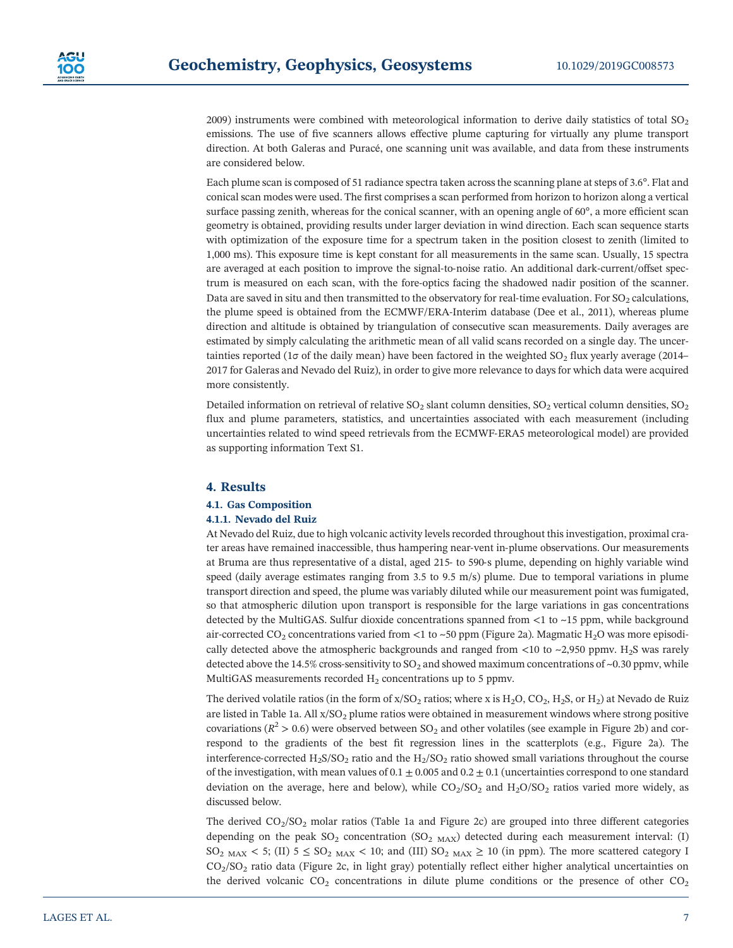2009) instruments were combined with meteorological information to derive daily statistics of total  $SO<sub>2</sub>$ emissions. The use of five scanners allows effective plume capturing for virtually any plume transport direction. At both Galeras and Puracé, one scanning unit was available, and data from these instruments are considered below.

Each plume scan is composed of 51 radiance spectra taken across the scanning plane at steps of 3.6°. Flat and conical scan modes were used. The first comprises a scan performed from horizon to horizon along a vertical surface passing zenith, whereas for the conical scanner, with an opening angle of 60°, a more efficient scan geometry is obtained, providing results under larger deviation in wind direction. Each scan sequence starts with optimization of the exposure time for a spectrum taken in the position closest to zenith (limited to 1,000 ms). This exposure time is kept constant for all measurements in the same scan. Usually, 15 spectra are averaged at each position to improve the signal-to-noise ratio. An additional dark-current/offset spectrum is measured on each scan, with the fore‐optics facing the shadowed nadir position of the scanner. Data are saved in situ and then transmitted to the observatory for real-time evaluation. For  $SO_2$  calculations, the plume speed is obtained from the ECMWF/ERA‐Interim database (Dee et al., 2011), whereas plume direction and altitude is obtained by triangulation of consecutive scan measurements. Daily averages are estimated by simply calculating the arithmetic mean of all valid scans recorded on a single day. The uncertainties reported (1 $\sigma$  of the daily mean) have been factored in the weighted SO<sub>2</sub> flux yearly average (2014– 2017 for Galeras and Nevado del Ruiz), in order to give more relevance to days for which data were acquired more consistently.

Detailed information on retrieval of relative  $SO_2$  slant column densities,  $SO_2$  vertical column densities,  $SO_2$ flux and plume parameters, statistics, and uncertainties associated with each measurement (including uncertainties related to wind speed retrievals from the ECMWF‐ERA5 meteorological model) are provided as supporting information Text S1.

# 4. Results

# 4.1. Gas Composition

# 4.1.1. Nevado del Ruiz

At Nevado del Ruiz, due to high volcanic activity levels recorded throughout this investigation, proximal crater areas have remained inaccessible, thus hampering near-vent in-plume observations. Our measurements at Bruma are thus representative of a distal, aged 215‐ to 590‐s plume, depending on highly variable wind speed (daily average estimates ranging from 3.5 to 9.5 m/s) plume. Due to temporal variations in plume transport direction and speed, the plume was variably diluted while our measurement point was fumigated, so that atmospheric dilution upon transport is responsible for the large variations in gas concentrations detected by the MultiGAS. Sulfur dioxide concentrations spanned from  $\lt 1$  to  $\lt 15$  ppm, while background air-corrected  $CO_2$  concentrations varied from <1 to ~50 ppm (Figure 2a). Magmatic H<sub>2</sub>O was more episodically detected above the atmospheric backgrounds and ranged from  $\lt 10$  to  $\lt 2,950$  ppmv. H<sub>2</sub>S was rarely detected above the 14.5% cross-sensitivity to  $SO_2$  and showed maximum concentrations of ~0.30 ppmv, while MultiGAS measurements recorded  $H_2$  concentrations up to 5 ppmv.

The derived volatile ratios (in the form of  $x/SO<sub>2</sub>$  ratios; where x is  $H<sub>2</sub>O$ ,  $CO<sub>2</sub>$ ,  $H<sub>2</sub>S$ , or  $H<sub>2</sub>$ ) at Nevado de Ruiz are listed in Table 1a. All  $x/SO<sub>2</sub>$  plume ratios were obtained in measurement windows where strong positive covariations ( $R^2 > 0.6$ ) were observed between SO<sub>2</sub> and other volatiles (see example in Figure 2b) and correspond to the gradients of the best fit regression lines in the scatterplots (e.g., Figure 2a). The interference‐corrected H<sub>2</sub>S/SO<sub>2</sub> ratio and the H<sub>2</sub>/SO<sub>2</sub> ratio showed small variations throughout the course of the investigation, with mean values of  $0.1 \pm 0.005$  and  $0.2 \pm 0.1$  (uncertainties correspond to one standard deviation on the average, here and below), while  $CO_2/SO_2$  and  $H_2O/SO_2$  ratios varied more widely, as discussed below.

The derived  $CO<sub>2</sub>/SO<sub>2</sub>$  molar ratios (Table 1a and Figure 2c) are grouped into three different categories depending on the peak  $SO_2$  concentration  $(SO_{2 \text{ MAX}})$  detected during each measurement interval: (I)  $SO<sub>2</sub>$  MAX < 5; (II)  $5 \leq SO<sub>2</sub>$  MAX < 10; and (III)  $SO<sub>2</sub>$  MAX  $\geq$  10 (in ppm). The more scattered category I CO2/SO2 ratio data (Figure 2c, in light gray) potentially reflect either higher analytical uncertainties on the derived volcanic  $CO_2$  concentrations in dilute plume conditions or the presence of other  $CO_2$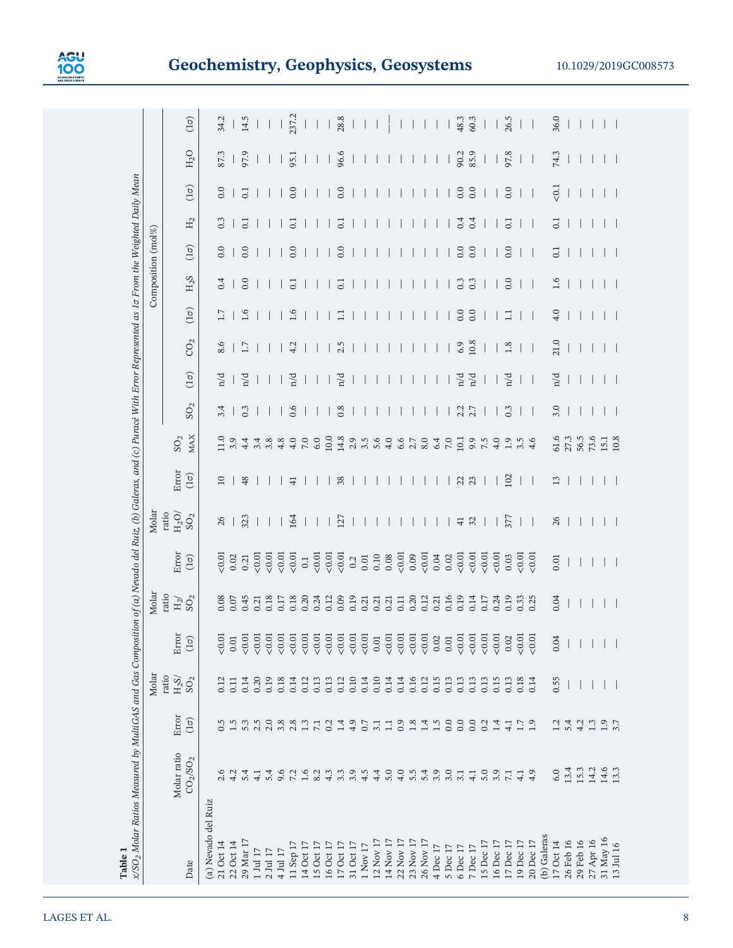

|                                                 | x/SO <sub>2</sub> Molar Ratios Measured by MultiGAS and Gas Composition of (a) Nevado del Ruiz, (b) Galeras, and (c) Puracé With Error Represented as 1¤ From the Weighted Daily Mean |                                          | Molar                       |                                                                                        | Molar                       |                                                                               | Molar                         |                      |                            |                          |                          |            |             |                  | Composition $(\text{mol}\%)$ |                  |                |        |                                 |
|-------------------------------------------------|---------------------------------------------------------------------------------------------------------------------------------------------------------------------------------------|------------------------------------------|-----------------------------|----------------------------------------------------------------------------------------|-----------------------------|-------------------------------------------------------------------------------|-------------------------------|----------------------|----------------------------|--------------------------|--------------------------|------------|-------------|------------------|------------------------------|------------------|----------------|--------|---------------------------------|
|                                                 |                                                                                                                                                                                       |                                          | ratio                       |                                                                                        | ratio                       |                                                                               | ratio                         |                      |                            |                          |                          |            |             |                  |                              |                  |                |        |                                 |
| Molar ratio<br>CO <sub>2</sub> /SO <sub>2</sub> |                                                                                                                                                                                       | Error<br>$\left(\frac{1}{\sigma}\right)$ | $\rm H_2S/$<br>${\rm SO}_2$ | Error<br>$(1\sigma)$                                                                   | $\rm{H}_{2}/$ $\rm{SO}_{2}$ | Error<br>$(1\sigma)$                                                          | $\mathrm{H_2O}/\mathrm{SO}_2$ | Error<br>$(1\sigma)$ | <b>MAX</b><br>${\rm SO}_2$ | ${\rm SO}_2$             | $(1\sigma)$              | $\rm CO_2$ | $(1\sigma)$ | ${\rm H_2S}$     | $(1\sigma)$                  | $\rm H_2$        | $(1\sigma)$    | $H_2O$ | $\left(\frac{1}{\sigma}\right)$ |
|                                                 |                                                                                                                                                                                       |                                          |                             |                                                                                        |                             |                                                                               |                               |                      |                            |                          |                          |            |             |                  |                              |                  |                |        |                                 |
|                                                 |                                                                                                                                                                                       | 0.5                                      | 0.12                        |                                                                                        |                             | 0.01                                                                          | 26                            | $10$                 | 11.0                       | 3.4                      | n/d                      | 8.6        | 1.7         | 0.4              | 0.0                          | 0.3              | $0.0\,$        | 87.3   | 34.2                            |
| 4.2                                             |                                                                                                                                                                                       | 1.5                                      | 0.11                        | $\frac{0.01}{0.01}$                                                                    | 0.08<br>0.07                | 0.02                                                                          | $\overline{\phantom{a}}$      |                      | 3.9                        | $\overline{\phantom{a}}$ |                          |            |             |                  | $\overline{\phantom{a}}$     |                  |                |        |                                 |
| 5.4                                             |                                                                                                                                                                                       | 5.3                                      | 0.14                        |                                                                                        | 0.45                        | 0.21                                                                          | 323                           | 48                   | 4.4                        | 0.3                      | n/d                      | 1.7        | 1.6         | 0.0              | 0.0                          | 0.1              | $\overline{0}$ | 97.9   | 14.5                            |
| 4.1                                             |                                                                                                                                                                                       | 2.5                                      | 0.20                        |                                                                                        | 0.21                        | 0.01                                                                          |                               |                      | 3.4                        |                          |                          |            |             |                  |                              |                  |                |        |                                 |
| 5.4                                             |                                                                                                                                                                                       | $2.0$<br>$3.8$                           | 0.19                        | $\begin{array}{c} 0.01 \\ 0.01 \\ 0.01 \\ 0.01 \\ 0.01 \\ \end{array}$                 | 0.18                        | 0.01                                                                          |                               |                      | $3.\overline{8}$<br>4.8    |                          |                          |            |             |                  |                              |                  |                |        |                                 |
| 9.6                                             |                                                                                                                                                                                       |                                          | 0.18                        |                                                                                        | 0.17                        |                                                                               |                               |                      |                            |                          |                          |            |             |                  |                              |                  |                |        |                                 |
| 7.2                                             |                                                                                                                                                                                       | 2.8                                      | 0.14                        | $\begin{array}{l} 0.01 \\ 0.01 \\ 0.01 \\ 0.01 \\ 0.01 \\ \end{array}$                 | 0.18                        | $\frac{0.01}{0.01}$                                                           | 164                           | $\overline{4}$       | 4.0                        | 0.6                      | n/d                      | 4.2        | 1.6         | $\overline{0.1}$ | 0.0                          | $\overline{0}$   | 0.0            | 95.1   | 237.2                           |
| $1.6$<br>8.2                                    |                                                                                                                                                                                       | $1.3\,$                                  | 0.12                        |                                                                                        | 0.20                        |                                                                               |                               |                      | 7.0                        |                          |                          |            |             |                  |                              |                  |                |        |                                 |
|                                                 |                                                                                                                                                                                       | 7.1                                      | 0.13                        |                                                                                        | 0.24                        | 0.01                                                                          |                               |                      | 6.0                        |                          |                          |            |             |                  |                              |                  |                |        |                                 |
| 4.3                                             |                                                                                                                                                                                       | 0.2                                      | 0.13                        |                                                                                        | 0.12                        |                                                                               |                               |                      | 10.0                       |                          |                          |            |             |                  |                              |                  |                |        |                                 |
|                                                 | 3.3                                                                                                                                                                                   | 1.4                                      | 0.12                        | $\begin{array}{c} 0.01 \\ 0.01 \\ 0.01 \\ 0.01 \end{array}$                            | 0.09                        | $\frac{0.01}{0.01}$                                                           | 127                           | 38                   | 14.8                       | 0.8                      | n/d                      | 2.5        | $\Box$      | $\overline{c}$   | 0.0                          | 0.1              | 0.0            | 96.6   | $\frac{1}{28.8}$                |
| 3.9                                             |                                                                                                                                                                                       | $4.9$<br>0.7                             | 0.10                        |                                                                                        | 0.19                        |                                                                               |                               |                      | 2.9                        |                          |                          |            |             |                  |                              |                  |                |        |                                 |
|                                                 | 4.5                                                                                                                                                                                   |                                          | 0.14                        |                                                                                        | 0.21                        | $\begin{array}{c} 0.01 \\ 0.10 \end{array}$                                   |                               |                      | 3.5                        |                          |                          |            |             |                  |                              |                  |                |        |                                 |
| 4.4                                             |                                                                                                                                                                                       | 3.1                                      | 0.10                        |                                                                                        | 0.21                        |                                                                               |                               |                      |                            |                          |                          |            |             |                  |                              |                  |                |        |                                 |
|                                                 | 5.0                                                                                                                                                                                   | $\Box$                                   | 0.14                        |                                                                                        | 0.21                        |                                                                               |                               |                      | 4.0                        |                          |                          |            |             |                  |                              |                  |                |        |                                 |
|                                                 | 4.0                                                                                                                                                                                   |                                          | 0.14                        |                                                                                        | 0.11                        |                                                                               |                               |                      | 6.6                        |                          |                          |            |             |                  |                              |                  |                |        |                                 |
|                                                 | 5.5                                                                                                                                                                                   | 0.34                                     | 0.16                        | $\begin{array}{c} 0.01 \\ 0.01 \\ 0.01 \\ 0.02 \\ 0.01 \\ 0.01 \\ 0.01 \\ \end{array}$ | 0.20                        | $\begin{array}{c} 0.08 \\[-4pt] 0.01 \\[-4pt] 0.09 \\[-4pt] 0.01 \end{array}$ |                               |                      | 2.7                        |                          |                          |            |             |                  |                              |                  |                |        |                                 |
|                                                 | 5.4                                                                                                                                                                                   |                                          | 0.12                        |                                                                                        | 0.12                        |                                                                               |                               |                      | 8.0                        |                          |                          |            |             |                  |                              |                  |                |        |                                 |
|                                                 | 3.9                                                                                                                                                                                   | 1.5                                      | 0.15                        |                                                                                        | 0.21                        | 0.04                                                                          |                               |                      | 6.4                        |                          |                          |            |             |                  |                              |                  |                |        |                                 |
|                                                 | 3.0                                                                                                                                                                                   | 0.0                                      | 0.13                        |                                                                                        | 0.16                        |                                                                               |                               |                      | $7.0\,$                    |                          |                          |            |             |                  |                              |                  |                |        |                                 |
|                                                 | 3.1                                                                                                                                                                                   | 0.0                                      | 0.13                        | 0.01                                                                                   |                             | $0.02$<br>< $0.01$                                                            | $41\,$                        | 23                   | 10.1                       | $2.7$<br>$2.7$           | n/d                      | 6.9        | 0.0         | 0.3              | 0.0                          | 0.4              | 0.0            | 90.2   | 48.3                            |
|                                                 | 4.1                                                                                                                                                                                   | 0.0                                      | 0.13                        | 0.01                                                                                   | 0.14                        | $\frac{0.01}{0.01}$                                                           | 32                            |                      | 9.9                        |                          | n/d                      | 10.8       | 0.0         | 0.3              | 0.0                          | 0.4              | 0.0            | 85.9   | 60.3                            |
|                                                 | 5.0                                                                                                                                                                                   | 0.2                                      | 0.13                        | $<0.01$                                                                                | 0.17                        |                                                                               |                               |                      | 7.5                        |                          |                          |            |             |                  |                              |                  |                |        |                                 |
|                                                 | 3.9                                                                                                                                                                                   | 1.4                                      | 0.15                        | $\frac{1}{20}$                                                                         | $0.24$<br>0.19              | 0.01                                                                          |                               |                      | 4.0                        |                          |                          |            |             |                  |                              |                  |                |        |                                 |
|                                                 | 7.1                                                                                                                                                                                   | $\overline{41}$                          | 0.13                        |                                                                                        |                             | 0.03                                                                          | 377                           | 102                  | 1.9                        | 0.3                      | n/d                      | $1.8\,$    | $\Box$      | 0.0              | 0.0                          | $\overline{0}$   | 0.0            | 97.8   | 26.5                            |
|                                                 | 4.1                                                                                                                                                                                   | 1.7                                      | 0.18                        | $\frac{0.01}{0.01}$                                                                    | 0.33<br>0.25                | $\frac{0.01}{0.01}$                                                           |                               |                      | $3.\overline{5}$<br>4.6    |                          | Τ                        |            |             |                  |                              |                  |                |        |                                 |
|                                                 | 4.9                                                                                                                                                                                   | 1.9                                      | 0.14                        |                                                                                        |                             |                                                                               | - 1                           | - 1                  |                            | $\overline{\phantom{0}}$ | $\overline{\phantom{0}}$ |            |             |                  |                              | $\blacksquare$   |                |        |                                 |
|                                                 | 6.0                                                                                                                                                                                   | 1.2                                      | 0.55                        |                                                                                        | 0.04                        | 0.01                                                                          | 26                            | $13$                 |                            | 3.0                      | n/d                      | 21.0       | 4.0         | 1.6              | $\overline{0}$ .             | $\overline{0}$ . | $0.1$          | 74.3   | 36.0                            |
|                                                 | 13.4                                                                                                                                                                                  | 5.4                                      |                             |                                                                                        |                             |                                                                               |                               |                      | 61.6                       |                          |                          |            |             |                  |                              |                  |                |        |                                 |
|                                                 | 15.3                                                                                                                                                                                  | 4.2                                      |                             |                                                                                        |                             |                                                                               |                               |                      | 56.5                       |                          |                          |            |             |                  |                              |                  |                |        |                                 |
|                                                 | 14.2                                                                                                                                                                                  | $1.3\,$                                  |                             | $\frac{3}{5}$                                                                          |                             |                                                                               |                               |                      | $73.6$<br>15.1<br>10.8     |                          |                          |            |             |                  |                              |                  |                |        |                                 |
|                                                 | 14.6                                                                                                                                                                                  | $1.9\,$                                  |                             |                                                                                        |                             |                                                                               |                               |                      |                            |                          |                          |            |             |                  |                              |                  |                |        |                                 |
| 13.3                                            |                                                                                                                                                                                       | 3.7                                      |                             |                                                                                        |                             |                                                                               |                               |                      |                            |                          |                          |            |             |                  |                              |                  |                |        |                                 |
|                                                 |                                                                                                                                                                                       |                                          |                             |                                                                                        |                             |                                                                               |                               |                      |                            |                          |                          |            |             |                  |                              |                  |                |        |                                 |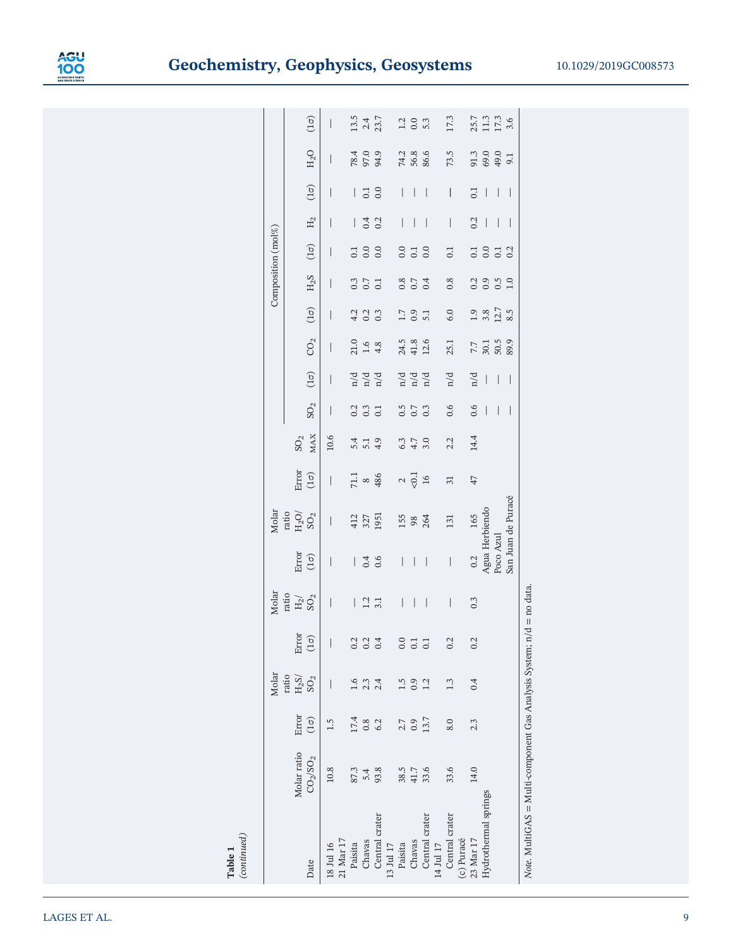

|                                                                       |                                  |                        | Molar        |                        | Molar                       |                          | Molar                                |                      |                         |                                                  |                             |                          |                        | Composition (mol%)       |                                                        |                                       |                                              |                      |                               |
|-----------------------------------------------------------------------|----------------------------------|------------------------|--------------|------------------------|-----------------------------|--------------------------|--------------------------------------|----------------------|-------------------------|--------------------------------------------------|-----------------------------|--------------------------|------------------------|--------------------------|--------------------------------------------------------|---------------------------------------|----------------------------------------------|----------------------|-------------------------------|
|                                                                       |                                  |                        | ratio        |                        | ratio                       |                          |                                      |                      |                         |                                                  |                             |                          |                        |                          |                                                        |                                       |                                              |                      |                               |
|                                                                       | Molar ratio                      | Error                  | $\rm H_2S/$  | Error                  | $\rm{H}_{2}/$ $\rm{SO}_{2}$ | Error<br>(1 $\sigma$ )   | ratio $_{\rm H_2O/}$ SO <sub>2</sub> | Error                | ${\rm SO}_2$            |                                                  |                             |                          |                        |                          |                                                        |                                       |                                              |                      |                               |
| Date                                                                  | CO <sub>2</sub> /SO <sub>2</sub> | $\left(1\sigma\right)$ | ${\rm SO}_2$ | $\left(1\sigma\right)$ |                             |                          |                                      | $(1\sigma)$          | <b>MAX</b>              | ${\rm SO}_2$                                     | $(1\sigma)$                 | CO <sub>2</sub>          | $\left(1\sigma\right)$ | ${\rm H_2S}$             | $\left(1\sigma\right)$                                 | $\rm H_2$                             | $\begin{array}{c} \boxed{10} \\ \end{array}$ | $\rm H_2O$           | $(1\sigma)$                   |
| 18 Jul 16                                                             | 10.8                             | 1.5                    |              | T                      | I                           | I                        | I                                    | $\mid$               | 10.6                    | I                                                | I                           | I                        | I                      | I                        | I                                                      | I                                     |                                              | I                    | I                             |
| 21 Mar 17                                                             |                                  |                        |              |                        |                             |                          |                                      |                      |                         |                                                  |                             |                          |                        |                          |                                                        |                                       |                                              |                      |                               |
| Paisita                                                               | 87.3                             | 17.4                   |              | 0.2                    | $\big $                     |                          |                                      |                      | 5.4                     |                                                  |                             |                          |                        |                          |                                                        | $\overline{\phantom{a}}$              | $\mid$                                       |                      |                               |
| Chavas                                                                | 5.4                              | 0.8                    | 2.3          | 0.2                    | $1.2$<br>3.1                | 0.4                      | 412<br>327<br>1951                   | $71.1$ $\frac{8}{5}$ | $\frac{5}{4}$ .9        | $\begin{array}{c} 0.2 \\ 0.3 \\ 0.1 \end{array}$ | $\frac{d}{d}$ $\frac{d}{d}$ | $21.6$<br>$1.6$<br>$4.8$ | $4.300$<br>$4.000$     | $0.3$<br>$0.7$<br>$0.1$  | $\begin{array}{c} 0.0 \\ 0.0 \\ 0.0 \end{array}$       | 0.4                                   | $\begin{array}{c} 0.1 \\ 0.0 \end{array}$    | 78.4<br>97.0<br>94.9 | $13.5$<br>$2.4$<br>$23.7$     |
| Central crater                                                        | 93.8                             | 6.2                    | 2.4          | 0.4                    |                             |                          |                                      |                      |                         |                                                  |                             |                          |                        |                          |                                                        |                                       |                                              |                      |                               |
| 13 Jul 17                                                             |                                  |                        |              |                        |                             |                          |                                      |                      |                         |                                                  |                             |                          |                        |                          |                                                        |                                       |                                              |                      |                               |
| Paisita                                                               | 38.5                             | 2.7                    | 1.5          | 0.0                    | $\mid$                      | I                        |                                      |                      |                         |                                                  |                             |                          |                        |                          |                                                        | $\mid$                                | I                                            |                      |                               |
| Chavas                                                                | 41.7                             | 0.9                    | 0.9          |                        | $\bigg $                    | $\mid$                   | 155<br>98<br>264                     | $\frac{2}{501}$      | $3.7$<br>$4.7$<br>$3.0$ | $0.5$<br>$0.7$<br>$0.3$                          | nd<br>nd<br>nd              | 24.5<br>41.8             | $\frac{1.7}{0.9}$      | $0.38$<br>$0.7$          |                                                        | $\mid$                                | $\mid$                                       | 74.3<br>56.6<br>86.6 | $\frac{2}{3}$ 3 $\frac{3}{3}$ |
| Central crater                                                        | 33.6                             | 13.7                   | 1.2          | 0.1                    | $\overline{\phantom{a}}$    | $\bigg $                 |                                      |                      |                         |                                                  |                             | 12.6                     | 5.1                    |                          |                                                        | $\overline{\phantom{a}}$              | $\mid$                                       |                      |                               |
| 14 Jul 17                                                             |                                  |                        |              |                        |                             |                          |                                      |                      |                         |                                                  |                             |                          |                        |                          |                                                        |                                       |                                              |                      |                               |
| Central crater                                                        | 33.6                             | 8.0                    | 1.3          | 0.2                    | $\mid$                      | $\overline{\phantom{a}}$ | 131                                  | 31                   | 2.2                     | 0.6                                              | n/d                         | 25.1                     | 6.0                    | 0.8                      | 0.1                                                    | $\mid$                                | $\mid$                                       | 73.5                 | 17.3                          |
| (c) Puracé                                                            |                                  |                        |              |                        |                             |                          |                                      |                      |                         |                                                  |                             |                          |                        |                          |                                                        |                                       |                                              |                      |                               |
| 23 Mar 17                                                             | 14.0                             | 2.3                    | 0.4          | 0.2                    | 0.3                         | 0.2                      | 165                                  | 47                   | 14.4                    | 0.6                                              | n/d                         | 7.7                      | 1.9                    |                          |                                                        | 0.2                                   | 0.1                                          |                      |                               |
| Hydrothermal springs                                                  |                                  |                        |              |                        |                             | Agua Herbiendo           |                                      |                      |                         | $\overline{\phantom{a}}$                         | $\overline{\phantom{a}}$    | 30.1<br>50.5             | $3.8$<br>12.7          |                          |                                                        | $\bigg $                              | $\overline{\phantom{a}}$                     | 91.3<br>69.0<br>49.0 |                               |
|                                                                       |                                  |                        |              |                        |                             | Poco Azul                |                                      |                      |                         | $\bigg $                                         | $\overline{\phantom{a}}$    |                          |                        | $33.9$<br>$3.9$<br>$1.9$ | $\begin{array}{c} 1 & 0 \\ 0 & 0 \\ 0 & 2 \end{array}$ | $\begin{array}{c} \hline \end{array}$ | $\bigg $                                     |                      | 25.7<br>11.3<br>17.3<br>3.6   |
|                                                                       |                                  |                        |              |                        |                             |                          | San Juan de Puracé                   |                      |                         | I                                                | I                           | 89.9                     | 8.5                    |                          |                                                        | I                                     | I                                            | 9.1                  |                               |
| Note. MultiGAS = Multi-component Gas Analysis System; $n/d =$ no data |                                  |                        |              |                        |                             |                          |                                      |                      |                         |                                                  |                             |                          |                        |                          |                                                        |                                       |                                              |                      |                               |

Table 1<br>(continued) (continued)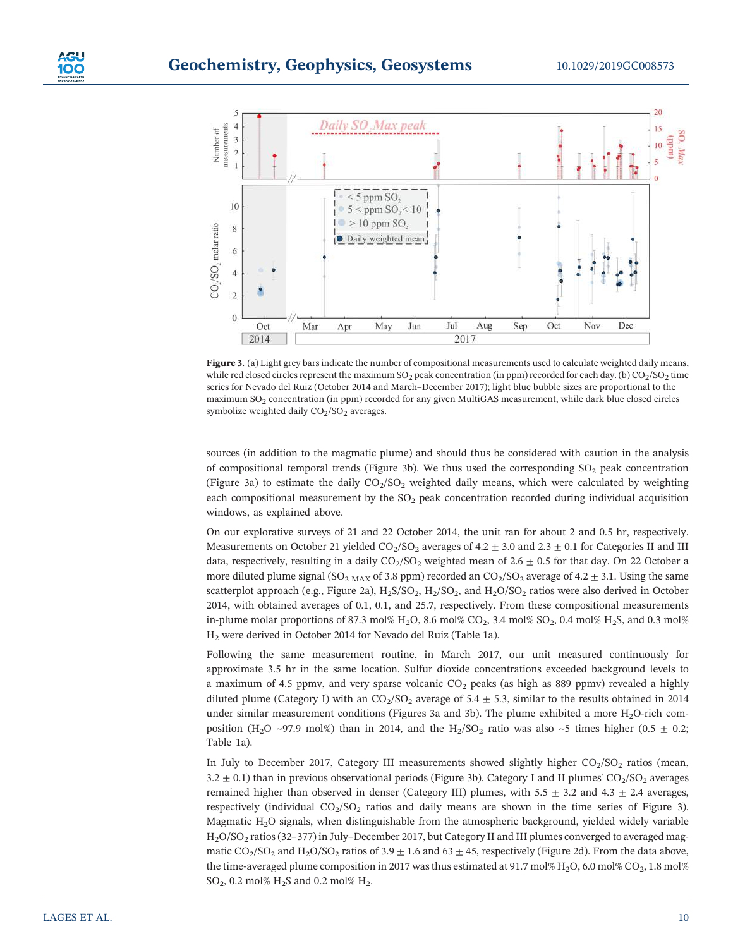

Figure 3. (a) Light grey bars indicate the number of compositional measurements used to calculate weighted daily means, while red closed circles represent the maximum  $SO_2$  peak concentration (in ppm) recorded for each day. (b)  $CO_2/SO_2$  time series for Nevado del Ruiz (October 2014 and March–December 2017); light blue bubble sizes are proportional to the maximum SO2 concentration (in ppm) recorded for any given MultiGAS measurement, while dark blue closed circles symbolize weighted daily  $CO<sub>2</sub>/SO<sub>2</sub>$  averages.

sources (in addition to the magmatic plume) and should thus be considered with caution in the analysis of compositional temporal trends (Figure 3b). We thus used the corresponding  $SO<sub>2</sub>$  peak concentration (Figure 3a) to estimate the daily  $CO<sub>2</sub>/SO<sub>2</sub>$  weighted daily means, which were calculated by weighting each compositional measurement by the  $SO<sub>2</sub>$  peak concentration recorded during individual acquisition windows, as explained above.

On our explorative surveys of 21 and 22 October 2014, the unit ran for about 2 and 0.5 hr, respectively. Measurements on October 21 yielded  $CO<sub>2</sub>/SO<sub>2</sub>$  averages of 4.2  $\pm$  3.0 and 2.3  $\pm$  0.1 for Categories II and III data, respectively, resulting in a daily  $CO<sub>2</sub>/SO<sub>2</sub>$  weighted mean of 2.6  $\pm$  0.5 for that day. On 22 October a more diluted plume signal (SO<sub>2 MAX</sub> of 3.8 ppm) recorded an  $CO<sub>2</sub>/SO<sub>2</sub>$  average of 4.2  $\pm$  3.1. Using the same scatterplot approach (e.g., Figure 2a),  $H_2S/SO_2$ ,  $H_2/SO_2$ , and  $H_2O/SO_2$  ratios were also derived in October 2014, with obtained averages of 0.1, 0.1, and 25.7, respectively. From these compositional measurements in-plume molar proportions of 87.3 mol% H<sub>2</sub>O, 8.6 mol% CO<sub>2</sub>, 3.4 mol% SO<sub>2</sub>, 0.4 mol% H<sub>2</sub>S, and 0.3 mol% H2 were derived in October 2014 for Nevado del Ruiz (Table 1a).

Following the same measurement routine, in March 2017, our unit measured continuously for approximate 3.5 hr in the same location. Sulfur dioxide concentrations exceeded background levels to a maximum of 4.5 ppmv, and very sparse volcanic  $CO<sub>2</sub>$  peaks (as high as 889 ppmv) revealed a highly diluted plume (Category I) with an  $CO_2/SO_2$  average of 5.4  $\pm$  5.3, similar to the results obtained in 2014 under similar measurement conditions (Figures 3a and 3b). The plume exhibited a more  $H<sub>2</sub>O$ -rich composition (H<sub>2</sub>O ~97.9 mol%) than in 2014, and the H<sub>2</sub>/SO<sub>2</sub> ratio was also ~5 times higher (0.5  $\pm$  0.2; Table 1a).

In July to December 2017, Category III measurements showed slightly higher  $CO<sub>2</sub>/SO<sub>2</sub>$  ratios (mean,  $3.2 \pm 0.1$ ) than in previous observational periods (Figure 3b). Category I and II plumes' CO<sub>2</sub>/SO<sub>2</sub> averages remained higher than observed in denser (Category III) plumes, with  $5.5 \pm 3.2$  and  $4.3 \pm 2.4$  averages, respectively (individual  $CO<sub>2</sub>/SO<sub>2</sub>$  ratios and daily means are shown in the time series of Figure 3). Magmatic  $H<sub>2</sub>O$  signals, when distinguishable from the atmospheric background, yielded widely variable H2O/SO2 ratios (32–377) in July–December 2017, but Category II and III plumes converged to averaged magmatic  $CO_2/SO_2$  and  $H_2O/SO_2$  ratios of 3.9  $\pm$  1.6 and 63  $\pm$  45, respectively (Figure 2d). From the data above, the time-averaged plume composition in 2017 was thus estimated at 91.7 mol% H<sub>2</sub>O, 6.0 mol% CO<sub>2</sub>, 1.8 mol%  $SO_2$ , 0.2 mol%  $H_2S$  and 0.2 mol%  $H_2$ .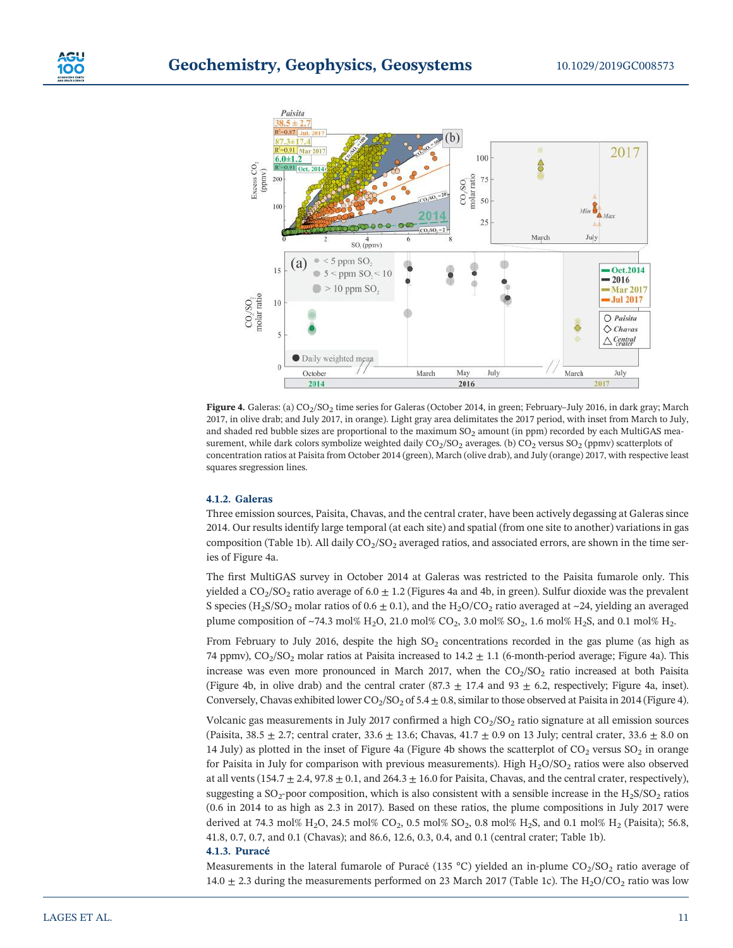



Figure 4. Galeras: (a) CO<sub>2</sub>/SO<sub>2</sub> time series for Galeras (October 2014, in green; February–July 2016, in dark gray; March 2017, in olive drab; and July 2017, in orange). Light gray area delimitates the 2017 period, with inset from March to July, and shaded red bubble sizes are proportional to the maximum  $SO<sub>2</sub>$  amount (in ppm) recorded by each MultiGAS measurement, while dark colors symbolize weighted daily  $CO_2/SO_2$  averages. (b)  $CO_2$  versus  $SO_2$  (ppmv) scatterplots of concentration ratios at Paisita from October 2014 (green), March (olive drab), and July (orange) 2017, with respective least squares sregression lines.

# 4.1.2. Galeras

Three emission sources, Paisita, Chavas, and the central crater, have been actively degassing at Galeras since 2014. Our results identify large temporal (at each site) and spatial (from one site to another) variations in gas composition (Table 1b). All daily  $CO_2/SO_2$  averaged ratios, and associated errors, are shown in the time series of Figure 4a.

The first MultiGAS survey in October 2014 at Galeras was restricted to the Paisita fumarole only. This yielded a  $CO_2/SO_2$  ratio average of 6.0  $\pm$  1.2 (Figures 4a and 4b, in green). Sulfur dioxide was the prevalent S species (H<sub>2</sub>S/SO<sub>2</sub> molar ratios of 0.6  $\pm$  0.1), and the H<sub>2</sub>O/CO<sub>2</sub> ratio averaged at ~24, yielding an averaged plume composition of ~74.3 mol% H<sub>2</sub>O, 21.0 mol% CO<sub>2</sub>, 3.0 mol% SO<sub>2</sub>, 1.6 mol% H<sub>2</sub>S, and 0.1 mol% H<sub>2</sub>.

From February to July 2016, despite the high  $SO<sub>2</sub>$  concentrations recorded in the gas plume (as high as 74 ppmv),  $CO<sub>2</sub>/SO<sub>2</sub>$  molar ratios at Paisita increased to  $14.2 \pm 1.1$  (6-month-period average; Figure 4a). This increase was even more pronounced in March 2017, when the  $CO<sub>2</sub>/SO<sub>2</sub>$  ratio increased at both Paisita (Figure 4b, in olive drab) and the central crater (87.3  $\pm$  17.4 and 93  $\pm$  6.2, respectively; Figure 4a, inset). Conversely, Chavas exhibited lower  $CO_2/SO_2$  of  $5.4 \pm 0.8$ , similar to those observed at Paisita in 2014 (Figure 4).

Volcanic gas measurements in July 2017 confirmed a high  $CO<sub>2</sub>/SO<sub>2</sub>$  ratio signature at all emission sources (Paisita, 38.5  $\pm$  2.7; central crater, 33.6  $\pm$  13.6; Chavas, 41.7  $\pm$  0.9 on 13 July; central crater, 33.6  $\pm$  8.0 on 14 July) as plotted in the inset of Figure 4a (Figure 4b shows the scatterplot of  $CO<sub>2</sub>$  versus  $SO<sub>2</sub>$  in orange for Paisita in July for comparison with previous measurements). High  $H_2O/SO_2$  ratios were also observed at all vents (154.7  $\pm$  2.4, 97.8  $\pm$  0.1, and 264.3  $\pm$  16.0 for Paisita, Chavas, and the central crater, respectively), suggesting a  $SO_2$ -poor composition, which is also consistent with a sensible increase in the H<sub>2</sub>S/SO<sub>2</sub> ratios (0.6 in 2014 to as high as 2.3 in 2017). Based on these ratios, the plume compositions in July 2017 were derived at 74.3 mol% H<sub>2</sub>O, 24.5 mol% CO<sub>2</sub>, 0.5 mol% SO<sub>2</sub>, 0.8 mol% H<sub>2</sub>S, and 0.1 mol% H<sub>2</sub> (Paisita); 56.8, 41.8, 0.7, 0.7, and 0.1 (Chavas); and 86.6, 12.6, 0.3, 0.4, and 0.1 (central crater; Table 1b).

#### 4.1.3. Puracé

Measurements in the lateral fumarole of Puracé (135 °C) yielded an in-plume  $CO_2/SO_2$  ratio average of 14.0  $\pm$  2.3 during the measurements performed on 23 March 2017 (Table 1c). The H<sub>2</sub>O/CO<sub>2</sub> ratio was low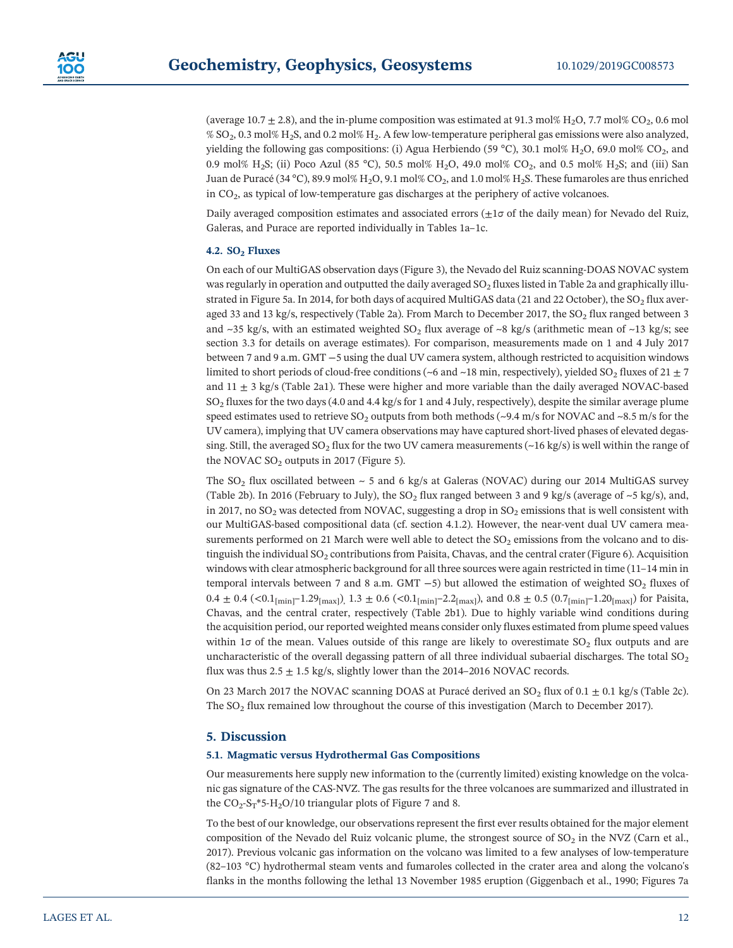(average 10.7  $\pm$  2.8), and the in-plume composition was estimated at 91.3 mol% H<sub>2</sub>O, 7.7 mol% CO<sub>2</sub>, 0.6 mol  $\%$  SO<sub>2</sub>, 0.3 mol% H<sub>2</sub>S, and 0.2 mol% H<sub>2</sub>. A few low-temperature peripheral gas emissions were also analyzed, yielding the following gas compositions: (i) Agua Herbiendo (59 °C), 30.1 mol% H<sub>2</sub>O, 69.0 mol% CO<sub>2</sub>, and 0.9 mol% H<sub>2</sub>S; (ii) Poco Azul (85 °C), 50.5 mol% H<sub>2</sub>O, 49.0 mol% CO<sub>2</sub>, and 0.5 mol% H<sub>2</sub>S; and (iii) San Juan de Puracé (34 °C), 89.9 mol% H<sub>2</sub>O, 9.1 mol% CO<sub>2</sub>, and 1.0 mol% H<sub>2</sub>S. These fumaroles are thus enriched in  $CO<sub>2</sub>$ , as typical of low-temperature gas discharges at the periphery of active volcanoes.

Daily averaged composition estimates and associated errors  $(\pm 1\sigma$  of the daily mean) for Nevado del Ruiz, Galeras, and Purace are reported individually in Tables 1a–1c.

# 4.2.  $SO<sub>2</sub>$  Fluxes

On each of our MultiGAS observation days (Figure 3), the Nevado del Ruiz scanning‐DOAS NOVAC system was regularly in operation and outputted the daily averaged  $SO<sub>2</sub>$  fluxes listed in Table 2a and graphically illustrated in Figure 5a. In 2014, for both days of acquired MultiGAS data (21 and 22 October), the  $SO_2$  flux averaged 33 and 13 kg/s, respectively (Table 2a). From March to December 2017, the  $SO_2$  flux ranged between 3 and ~35 kg/s, with an estimated weighted  $SO_2$  flux average of ~8 kg/s (arithmetic mean of ~13 kg/s; see section 3.3 for details on average estimates). For comparison, measurements made on 1 and 4 July 2017 between 7 and 9 a.m. GMT −5 using the dual UV camera system, although restricted to acquisition windows limited to short periods of cloud-free conditions (~6 and ~18 min, respectively), yielded SO<sub>2</sub> fluxes of 21  $\pm$  7 and  $11 \pm 3$  kg/s (Table 2a1). These were higher and more variable than the daily averaged NOVAC-based  $SO<sub>2</sub>$  fluxes for the two days (4.0 and 4.4 kg/s for 1 and 4 July, respectively), despite the similar average plume speed estimates used to retrieve  $SO_2$  outputs from both methods (~9.4 m/s for NOVAC and ~8.5 m/s for the UV camera), implying that UV camera observations may have captured short‐lived phases of elevated degassing. Still, the averaged SO<sub>2</sub> flux for the two UV camera measurements ( $\sim$ 16 kg/s) is well within the range of the NOVAC  $SO<sub>2</sub>$  outputs in 2017 (Figure 5).

The SO<sub>2</sub> flux oscillated between  $\sim$  5 and 6 kg/s at Galeras (NOVAC) during our 2014 MultiGAS survey (Table 2b). In 2016 (February to July), the SO<sub>2</sub> flux ranged between 3 and 9 kg/s (average of  $\sim$ 5 kg/s), and, in 2017, no  $SO_2$  was detected from NOVAC, suggesting a drop in  $SO_2$  emissions that is well consistent with our MultiGAS-based compositional data (cf. section 4.1.2). However, the near-vent dual UV camera measurements performed on 21 March were well able to detect the  $SO<sub>2</sub>$  emissions from the volcano and to distinguish the individual  $SO_2$  contributions from Paisita, Chavas, and the central crater (Figure 6). Acquisition windows with clear atmospheric background for all three sources were again restricted in time (11–14 min in temporal intervals between 7 and 8 a.m. GMT  $-5$ ) but allowed the estimation of weighted SO<sub>2</sub> fluxes of  $0.4 \pm 0.4$  (<0.1<sub>[min]</sub>–1.29<sub>[max]</sub>),  $1.3 \pm 0.6$  (<0.1<sub>[min]</sub>–2.2<sub>[max]</sub>), and  $0.8 \pm 0.5$  (0.7<sub>[min]</sub>–1.20<sub>[max]</sub>) for Paisita, Chavas, and the central crater, respectively (Table 2b1). Due to highly variable wind conditions during the acquisition period, our reported weighted means consider only fluxes estimated from plume speed values within 1 $\sigma$  of the mean. Values outside of this range are likely to overestimate SO<sub>2</sub> flux outputs and are uncharacteristic of the overall degassing pattern of all three individual subaerial discharges. The total  $SO<sub>2</sub>$ flux was thus  $2.5 \pm 1.5$  kg/s, slightly lower than the 2014–2016 NOVAC records.

On 23 March 2017 the NOVAC scanning DOAS at Puracé derived an  $SO_2$  flux of  $0.1 \pm 0.1$  kg/s (Table 2c). The SO<sub>2</sub> flux remained low throughout the course of this investigation (March to December 2017).

# 5. Discussion

# 5.1. Magmatic versus Hydrothermal Gas Compositions

Our measurements here supply new information to the (currently limited) existing knowledge on the volcanic gas signature of the CAS‐NVZ. The gas results for the three volcanoes are summarized and illustrated in the  $CO_2$ -S<sub>T</sub>\*5-H<sub>2</sub>O/10 triangular plots of Figure 7 and 8.

To the best of our knowledge, our observations represent the first ever results obtained for the major element composition of the Nevado del Ruiz volcanic plume, the strongest source of  $SO<sub>2</sub>$  in the NVZ (Carn et al., 2017). Previous volcanic gas information on the volcano was limited to a few analyses of low‐temperature (82–103 °C) hydrothermal steam vents and fumaroles collected in the crater area and along the volcano's flanks in the months following the lethal 13 November 1985 eruption (Giggenbach et al., 1990; Figures 7a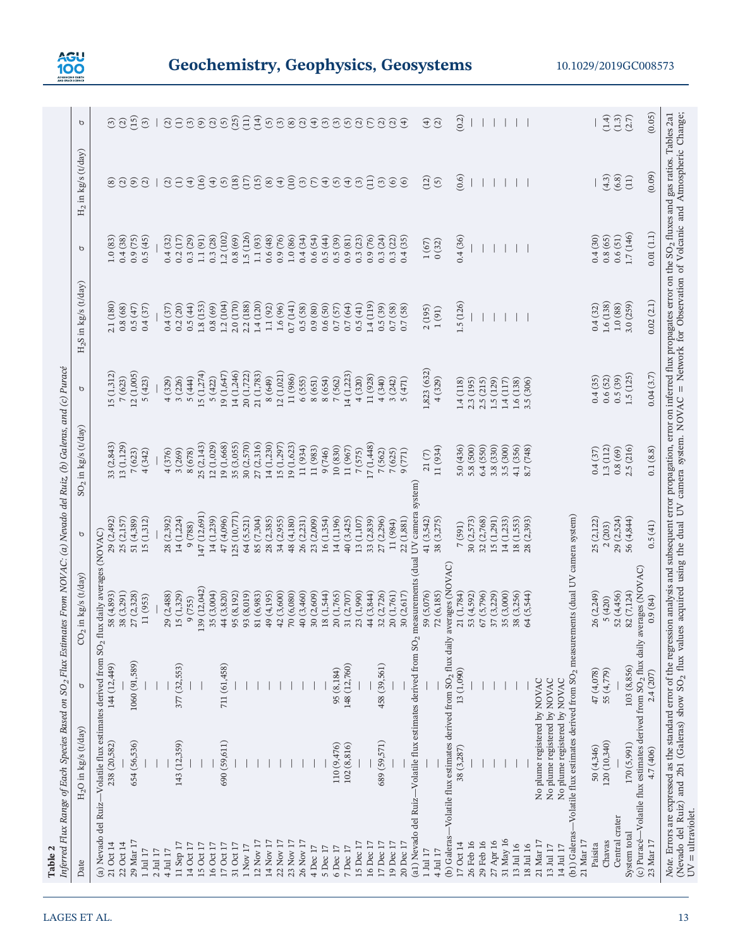

| $H_2O$ in kg/s (t/day)                                                      |               | $CO2$ in kg/s (t/day)                                                                                          | р                        | SO <sub>2</sub> in kg/s (t/day) | р                    | $H_2S$ in kg/s (t/day) | р                  | $H_2$ in kg/s (t/day)     | p                                                                                                                                                                                                                                                                                                                                                                                                                                                                                                                                                                                                                                            |
|-----------------------------------------------------------------------------|---------------|----------------------------------------------------------------------------------------------------------------|--------------------------|---------------------------------|----------------------|------------------------|--------------------|---------------------------|----------------------------------------------------------------------------------------------------------------------------------------------------------------------------------------------------------------------------------------------------------------------------------------------------------------------------------------------------------------------------------------------------------------------------------------------------------------------------------------------------------------------------------------------------------------------------------------------------------------------------------------------|
| (a) Nevado del Ruiz-Volatile flux estimates derived from SO <sub>2</sub>    |               | flux daily averages (NOVAC)                                                                                    |                          |                                 |                      |                        |                    |                           |                                                                                                                                                                                                                                                                                                                                                                                                                                                                                                                                                                                                                                              |
| 238 (20,582)                                                                | 144 (12,449)  | 38 (3,291)<br>58 (4,893)                                                                                       | 29 (2,492)<br>25 (2,157) | 33 (2,843)<br>13 (1,129)        | 15 (1,312)<br>7(623) | 2.1 (180)<br>0.8(68)   | 0.4(38)<br>1.0(83) | $\Omega$<br>$\circledast$ | $\widehat{c}$<br>(2)                                                                                                                                                                                                                                                                                                                                                                                                                                                                                                                                                                                                                         |
| 654 (56,536)                                                                | 1060 (91,589) | 27 (2,328)                                                                                                     | 51 (4,389)               | 7(623)                          | 12 (1,005)           | 0.5(47)                | 0.9(75)            | $\odot$                   | (15)                                                                                                                                                                                                                                                                                                                                                                                                                                                                                                                                                                                                                                         |
|                                                                             |               | 11 (953)                                                                                                       | 15 (1,312)               | 4(342)                          | 5(423)               | 0.4(37)                | 0.5(45)            | $\hat{c}$                 | $\circled{3}$                                                                                                                                                                                                                                                                                                                                                                                                                                                                                                                                                                                                                                |
|                                                                             |               |                                                                                                                |                          |                                 |                      |                        |                    |                           |                                                                                                                                                                                                                                                                                                                                                                                                                                                                                                                                                                                                                                              |
|                                                                             |               | 29 (2,488)                                                                                                     | 28 (2,392)               | 4(376)                          | 4(329)               | 0.4(37)                | 0.4(32)            | $\widehat{c}$             |                                                                                                                                                                                                                                                                                                                                                                                                                                                                                                                                                                                                                                              |
| 143 (12,359)                                                                | 377 (32,553)  | 15 (1,329)<br>9(755)                                                                                           | 14 (1,224)<br>9 (788)    | 3(269)<br>8 (678)               | 5(444)<br>3(226)     | 0.5(44)<br>0.2(20)     | 0.3(29)<br>0.2(17) | $\tag{4}$                 |                                                                                                                                                                                                                                                                                                                                                                                                                                                                                                                                                                                                                                              |
|                                                                             |               | 139 (12,042)                                                                                                   | (47(12,691))             | 25 (2,143)                      | 15 (1,274)           | 1.8(153)               | 1.1(91)            | (16)                      | $@{\exists} \widehat{\sigma} @ @{\widehat{\sigma}} @ \widehat{\sigma} \widehat{\sigma} \widehat{\sigma} \widehat{\sigma} @ @{\widehat{\sigma}} @ \widehat{\sigma} \widehat{\sigma} @ @{\widehat{\sigma}} @ \widehat{\sigma} \widehat{\sigma} \widehat{\sigma} \widehat{\sigma} \widehat{\sigma} \widehat{\sigma} \widehat{\sigma} \widehat{\sigma} \widehat{\sigma} \widehat{\sigma} \widehat{\sigma} \widehat{\sigma} \widehat{\sigma} \widehat{\sigma} \widehat{\sigma} \widehat{\sigma} \widehat{\sigma} \widehat{\sigma} \widehat{\sigma} \widehat{\sigma} \widehat{\sigma} \widehat{\sigma} \widehat{\sigma} \widehat{\sigma} \widehat$ |
|                                                                             |               | 35(3,004)                                                                                                      | 14 (1,239)               | 12 (1,029)                      | 5(422)               | 0.8(69)                | 0.3(28)            | $\hat{f}$                 |                                                                                                                                                                                                                                                                                                                                                                                                                                                                                                                                                                                                                                              |
| 690 (59,611)                                                                | 711 (61,458)  | 44 (3,820)                                                                                                     | 47 (4,096)               | 19 (1,668)                      | 19 (1,647)           | 1.2(104)               | 1.2(102)           |                           |                                                                                                                                                                                                                                                                                                                                                                                                                                                                                                                                                                                                                                              |
|                                                                             |               | 95 (8,192)                                                                                                     | (10,771)                 | 35 (3,055)                      | 14 (1,246)           | 2.0(170)               | 0.8(69)            |                           |                                                                                                                                                                                                                                                                                                                                                                                                                                                                                                                                                                                                                                              |
|                                                                             |               | 93 (8,019)                                                                                                     | 64 (5,521)               | 30(2,570)                       | 20 (1,722)           | 2.2 (188)              | 1.5 (126)          |                           |                                                                                                                                                                                                                                                                                                                                                                                                                                                                                                                                                                                                                                              |
|                                                                             |               | 81 (6,983)                                                                                                     | 85 (7,304)               | 27 (2,316)                      | 21 (1,783)           | 1.4 (120)              | 1.1(93)            |                           |                                                                                                                                                                                                                                                                                                                                                                                                                                                                                                                                                                                                                                              |
|                                                                             |               | 49 (4,195)                                                                                                     | 28 (2,385)               | 14(1,230)                       | 8 (649)              | $1.1\,(92)$            | 0.6(48)            |                           |                                                                                                                                                                                                                                                                                                                                                                                                                                                                                                                                                                                                                                              |
|                                                                             |               | 42(3,600)                                                                                                      | 34 (2,955)               | 15 (1,297)                      | 12(1,021)            | 1.6(96)                | 0.9(76)            |                           |                                                                                                                                                                                                                                                                                                                                                                                                                                                                                                                                                                                                                                              |
|                                                                             |               | 70 (6,080)                                                                                                     | 48 (4,180)               | 19 (1,623)                      | 11 (986)             | 0.7(141)               | 1.0(86)            |                           |                                                                                                                                                                                                                                                                                                                                                                                                                                                                                                                                                                                                                                              |
|                                                                             |               | 40 (3,460)                                                                                                     | 26 (2,231)               | 11 (934)                        | 6(555)               | 0.5(58)                | 0.4(34)            |                           |                                                                                                                                                                                                                                                                                                                                                                                                                                                                                                                                                                                                                                              |
|                                                                             |               | 30(2,609)                                                                                                      | 23 (2,009)               | 11 (983)                        | 8(651)               | 0.9(80)                | 0.6(54)            |                           |                                                                                                                                                                                                                                                                                                                                                                                                                                                                                                                                                                                                                                              |
|                                                                             |               | 18 (1,544)                                                                                                     | 16 (1,354)               | 9(746)                          | 8 (654)              | 0.6(50)                | 0.5(44)            |                           |                                                                                                                                                                                                                                                                                                                                                                                                                                                                                                                                                                                                                                              |
| 110 (9,476)                                                                 | 95 (8,184)    | 20 (1,765)                                                                                                     | 14 (1,196)               | 10(830)                         | 7 (562)              | 0.7(57)                | 0.5(39)            |                           |                                                                                                                                                                                                                                                                                                                                                                                                                                                                                                                                                                                                                                              |
| 102 (8,816)                                                                 | 148 (12,760)  | 31 (2,707)                                                                                                     | 40 (3,425)               | 11 (967)                        | 14 (1,223)           | 0.7(64)                | 0.9(81)            |                           |                                                                                                                                                                                                                                                                                                                                                                                                                                                                                                                                                                                                                                              |
|                                                                             |               | 23 (1,990)                                                                                                     | 13 (1,107)               | 7 (575)                         | 4(320)               | 0.5(41)                | 0.3(23)            |                           |                                                                                                                                                                                                                                                                                                                                                                                                                                                                                                                                                                                                                                              |
|                                                                             |               | 44 (3,844)                                                                                                     | 33 (2,839)               | 17(1,448)                       | 11 (928)             | 1.4(119)               | 0.9(76)            | $\Xi$ $\odot$             |                                                                                                                                                                                                                                                                                                                                                                                                                                                                                                                                                                                                                                              |
| 689 (59,571)                                                                | 458 (39,561)  | 32 (2,726)                                                                                                     | 27 (2,296)               | 7 (562)                         | 4 (340)              | 0.5(39)<br>0.7(58)     | 0.3(24)            |                           |                                                                                                                                                                                                                                                                                                                                                                                                                                                                                                                                                                                                                                              |
|                                                                             |               | 20 (1,761)<br>30(2,617)                                                                                        | 22 (1,881)<br>11 (984)   | 7(625)<br>9(771)                | 3(242)<br>5(471)     | 0.7(58)                | 0.3(22)<br>0.4(35) | $\odot$<br>$\odot$        |                                                                                                                                                                                                                                                                                                                                                                                                                                                                                                                                                                                                                                              |
|                                                                             |               | (a1) Nevado del Ruiz-Volatile flux estimates derived from SO <sub>2</sub> measurements (dual UV camera system) |                          |                                 |                      |                        |                    |                           |                                                                                                                                                                                                                                                                                                                                                                                                                                                                                                                                                                                                                                              |
|                                                                             |               | 59 (5,076)                                                                                                     | 41 (3,542)               | 21(7)                           | 1,823 (632)          | 2(195)                 | 1(67)              | (12)                      |                                                                                                                                                                                                                                                                                                                                                                                                                                                                                                                                                                                                                                              |
|                                                                             |               | 72 (6,185)                                                                                                     | 38 (3,275)               | 11 (934)                        | 4(329)               | $1(91)$                | (32)               | $\widetilde{5}$           | $\bigoplus$ $\bigodot$                                                                                                                                                                                                                                                                                                                                                                                                                                                                                                                                                                                                                       |
| (b) Galeras-Volatile flux estimates derived from SO <sub>2</sub> flux daily |               | averages (NOVAC)                                                                                               |                          |                                 |                      |                        |                    |                           |                                                                                                                                                                                                                                                                                                                                                                                                                                                                                                                                                                                                                                              |
| 38 (3,287)                                                                  | 13 (1,090)    | 21 (1,784)                                                                                                     | 7(591)                   | 5.0(436)                        | 1.4(118)             | 1.5 (126)              | 0.4(36)            | (0.6)                     | (0.2)                                                                                                                                                                                                                                                                                                                                                                                                                                                                                                                                                                                                                                        |
|                                                                             |               | 53 (4,592)                                                                                                     | 30(2,573)                | 5.8 (500)                       | 2.3 (195)            |                        |                    |                           |                                                                                                                                                                                                                                                                                                                                                                                                                                                                                                                                                                                                                                              |
|                                                                             |               | 67 (5,796)                                                                                                     | 32 (2,768)               | 6.4(550)                        | 2.5(215)             |                        |                    |                           |                                                                                                                                                                                                                                                                                                                                                                                                                                                                                                                                                                                                                                              |
|                                                                             |               | 37(3,229)                                                                                                      | 15 (1,291)               | 3.8 (330)                       | 1.5 (129)            |                        |                    |                           |                                                                                                                                                                                                                                                                                                                                                                                                                                                                                                                                                                                                                                              |
|                                                                             |               | 35 (3,000)                                                                                                     | 14 (1,233)               | 3.5 (300)                       | 1.4(117)             |                        |                    |                           |                                                                                                                                                                                                                                                                                                                                                                                                                                                                                                                                                                                                                                              |
|                                                                             |               | 38 (3,256)                                                                                                     | 18 (1,553)               | 4.1 (356)                       | 1.6(138)             |                        |                    |                           |                                                                                                                                                                                                                                                                                                                                                                                                                                                                                                                                                                                                                                              |
|                                                                             |               | 64 (5,544)                                                                                                     | (2, 393)<br>28           | 8.7 (748)                       | 3.5 (306)            |                        |                    |                           |                                                                                                                                                                                                                                                                                                                                                                                                                                                                                                                                                                                                                                              |
| No plume registered by NOVAC                                                |               |                                                                                                                |                          |                                 |                      |                        |                    |                           |                                                                                                                                                                                                                                                                                                                                                                                                                                                                                                                                                                                                                                              |
| No plume registered by NOVAC                                                |               |                                                                                                                |                          |                                 |                      |                        |                    |                           |                                                                                                                                                                                                                                                                                                                                                                                                                                                                                                                                                                                                                                              |
| No plume registered by NOVAC                                                |               |                                                                                                                |                          |                                 |                      |                        |                    |                           |                                                                                                                                                                                                                                                                                                                                                                                                                                                                                                                                                                                                                                              |
|                                                                             |               | (b1) Galeras-Volatile flux estimates derived from SO <sub>2</sub> measurements (dual UV camera system)         |                          |                                 |                      |                        |                    |                           |                                                                                                                                                                                                                                                                                                                                                                                                                                                                                                                                                                                                                                              |
| 50 (4,346)                                                                  | 47 (4,078)    | 26 (2,249)                                                                                                     | 25 (2,122)               | 0.4(37)                         | 0.4(35)              | 0.4(32)                | 0.4(30)            |                           |                                                                                                                                                                                                                                                                                                                                                                                                                                                                                                                                                                                                                                              |
| 120 (10,340)                                                                | 55 (4,779)    | 5(420)                                                                                                         | 2(203)                   | 1.3(112)                        | 0.6(52)              | 1.6 (138)              | 0.8(65)            | (4.3)                     | (1.4)                                                                                                                                                                                                                                                                                                                                                                                                                                                                                                                                                                                                                                        |
|                                                                             |               | 52 (4,456)                                                                                                     | 29 (2,524)               | $(69)$ 8.0                      | 0.5(39)              | 1.0(88)                | 0.6(51)            | (6.8)                     | (1.3)                                                                                                                                                                                                                                                                                                                                                                                                                                                                                                                                                                                                                                        |
| 170 (5,991)                                                                 | 103 (8,856)   | 82 (7,124)                                                                                                     | 56 (4,844)               | 2.5(216)                        | 1.5(125)             | 3.0(259)               | 1.7 (146)          | (11)                      | (2.7)                                                                                                                                                                                                                                                                                                                                                                                                                                                                                                                                                                                                                                        |
| (c) Puracé—Volatile flux estimates derived from SO <sub>2</sub> flux daily  |               | averages (NOVAC)                                                                                               |                          |                                 |                      |                        |                    |                           |                                                                                                                                                                                                                                                                                                                                                                                                                                                                                                                                                                                                                                              |
| 4.7 (406)                                                                   | 2.4(207)      | 0.9(84)                                                                                                        | 0.5(41)                  | 0.1(8.8)                        | 0.04(3.7)            | 0.02(2.1)              | 0.01(1.1)          | (0.09)                    | (0.05)                                                                                                                                                                                                                                                                                                                                                                                                                                                                                                                                                                                                                                       |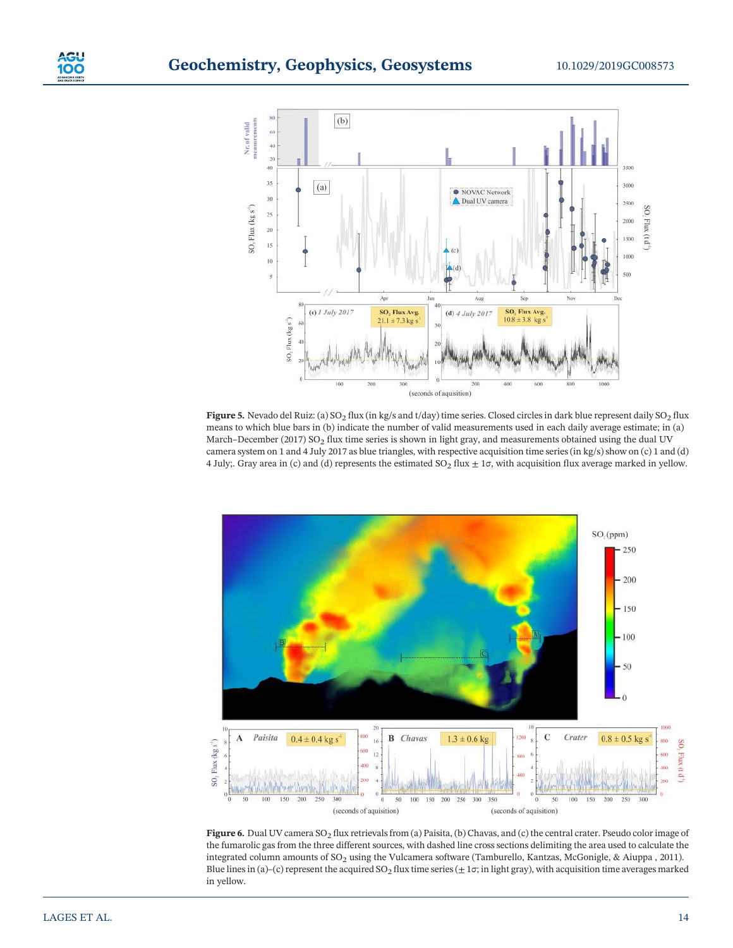

Figure 5. Nevado del Ruiz: (a)  $SO_2$  flux (in kg/s and t/day) time series. Closed circles in dark blue represent daily  $SO_2$  flux means to which blue bars in (b) indicate the number of valid measurements used in each daily average estimate; in (a) March–December (2017) SO<sub>2</sub> flux time series is shown in light gray, and measurements obtained using the dual UV camera system on 1 and 4 July 2017 as blue triangles, with respective acquisition time series (in kg/s) show on (c) 1 and (d) 4 July;. Gray area in (c) and (d) represents the estimated  $SO_2$  flux  $\pm$  1 $\sigma$ , with acquisition flux average marked in yellow.



Figure 6. Dual UV camera  $SO_2$  flux retrievals from (a) Paisita, (b) Chavas, and (c) the central crater. Pseudo color image of the fumarolic gas from the three different sources, with dashed line cross sections delimiting the area used to calculate the integrated column amounts of SO<sub>2</sub> using the Vulcamera software (Tamburello, Kantzas, McGonigle, & Aiuppa , 2011). Blue lines in (a)–(c) represent the acquired  $SO_2$  flux time series ( $\pm 1\sigma$ ; in light gray), with acquisition time averages marked in yellow.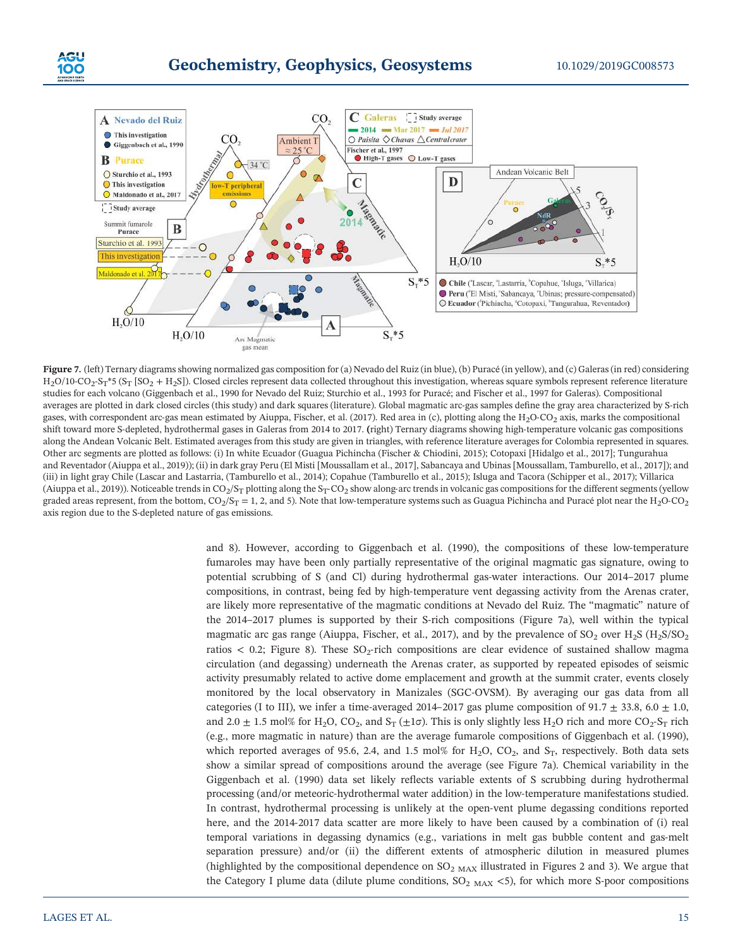



Figure 7. (left) Ternary diagrams showing normalized gas composition for (a) Nevado del Ruiz (in blue), (b) Puracé (in yellow), and (c) Galeras (in red) considering  $H_2O/10$ -CO<sub>2</sub>-S<sub>T</sub>\*5 (S<sub>T</sub> [SO<sub>2</sub> + H<sub>2</sub>S]). Closed circles represent data collected throughout this investigation, whereas square symbols represent reference literature studies for each volcano (Giggenbach et al., 1990 for Nevado del Ruiz; Sturchio et al., 1993 for Puracé; and Fischer et al., 1997 for Galeras). Compositional averages are plotted in dark closed circles (this study) and dark squares (literature). Global magmatic arc-gas samples define the gray area characterized by S-rich gases, with correspondent arc-gas mean estimated by Aiuppa, Fischer, et al. (2017). Red area in (c), plotting along the H<sub>2</sub>O-CO<sub>2</sub> axis, marks the compositional shift toward more S-depleted, hydrothermal gases in Galeras from 2014 to 2017. (right) Ternary diagrams showing high-temperature volcanic gas compositions along the Andean Volcanic Belt. Estimated averages from this study are given in triangles, with reference literature averages for Colombia represented in squares. Other arc segments are plotted as follows: (i) In white Ecuador (Guagua Pichincha (Fischer & Chiodini, 2015); Cotopaxi [Hidalgo et al., 2017]; Tungurahua and Reventador (Aiuppa et al., 2019)); (ii) in dark gray Peru (El Misti [Moussallam et al., 2017], Sabancaya and Ubinas [Moussallam, Tamburello, et al., 2017]); and (iii) in light gray Chile (Lascar and Lastarria, (Tamburello et al., 2014); Copahue (Tamburello et al., 2015); Isluga and Tacora (Schipper et al., 2017); Villarica (Aiuppa et al., 2019)). Noticeable trends in  $CO_2/S_T$  plotting along the  $S_T$ -CO<sub>2</sub> show along-arc trends in volcanic gas compositions for the different segments (yellow graded areas represent, from the bottom,  $CO_2/S_T = 1$ , 2, and 5). Note that low-temperature systems such as Guagua Pichincha and Puracé plot near the H<sub>2</sub>O-CO<sub>2</sub> axis region due to the S‐depleted nature of gas emissions.

and 8). However, according to Giggenbach et al. (1990), the compositions of these low-temperature fumaroles may have been only partially representative of the original magmatic gas signature, owing to potential scrubbing of S (and Cl) during hydrothermal gas-water interactions. Our 2014–2017 plume compositions, in contrast, being fed by high-temperature vent degassing activity from the Arenas crater, are likely more representative of the magmatic conditions at Nevado del Ruiz. The "magmatic" nature of the 2014–2017 plumes is supported by their S-rich compositions (Figure 7a), well within the typical magmatic arc gas range (Aiuppa, Fischer, et al., 2017), and by the prevalence of  $SO_2$  over  $H_2S(H_2S/SO_2)$ ratios  $< 0.2$ ; Figure 8). These SO<sub>2</sub>-rich compositions are clear evidence of sustained shallow magma circulation (and degassing) underneath the Arenas crater, as supported by repeated episodes of seismic activity presumably related to active dome emplacement and growth at the summit crater, events closely monitored by the local observatory in Manizales (SGC‐OVSM). By averaging our gas data from all categories (I to III), we infer a time-averaged 2014–2017 gas plume composition of  $91.7 \pm 33.8$ , 6.0  $\pm$  1.0, and 2.0  $\pm$  1.5 mol% for H<sub>2</sub>O, CO<sub>2</sub>, and S<sub>T</sub> ( $\pm$ 1 $\sigma$ ). This is only slightly less H<sub>2</sub>O rich and more CO<sub>2</sub>·S<sub>T</sub> rich (e.g., more magmatic in nature) than are the average fumarole compositions of Giggenbach et al. (1990), which reported averages of 95.6, 2.4, and 1.5 mol% for  $H_2O$ ,  $CO_2$ , and  $S_T$ , respectively. Both data sets show a similar spread of compositions around the average (see Figure 7a). Chemical variability in the Giggenbach et al. (1990) data set likely reflects variable extents of S scrubbing during hydrothermal processing (and/or meteoric‐hydrothermal water addition) in the low‐temperature manifestations studied. In contrast, hydrothermal processing is unlikely at the open-vent plume degassing conditions reported here, and the 2014-2017 data scatter are more likely to have been caused by a combination of (i) real temporal variations in degassing dynamics (e.g., variations in melt gas bubble content and gas-melt separation pressure) and/or (ii) the different extents of atmospheric dilution in measured plumes (highlighted by the compositional dependence on  $SO<sub>2</sub>$  MAX illustrated in Figures 2 and 3). We argue that the Category I plume data (dilute plume conditions,  $SO_{2~MAX}$  <5), for which more S-poor compositions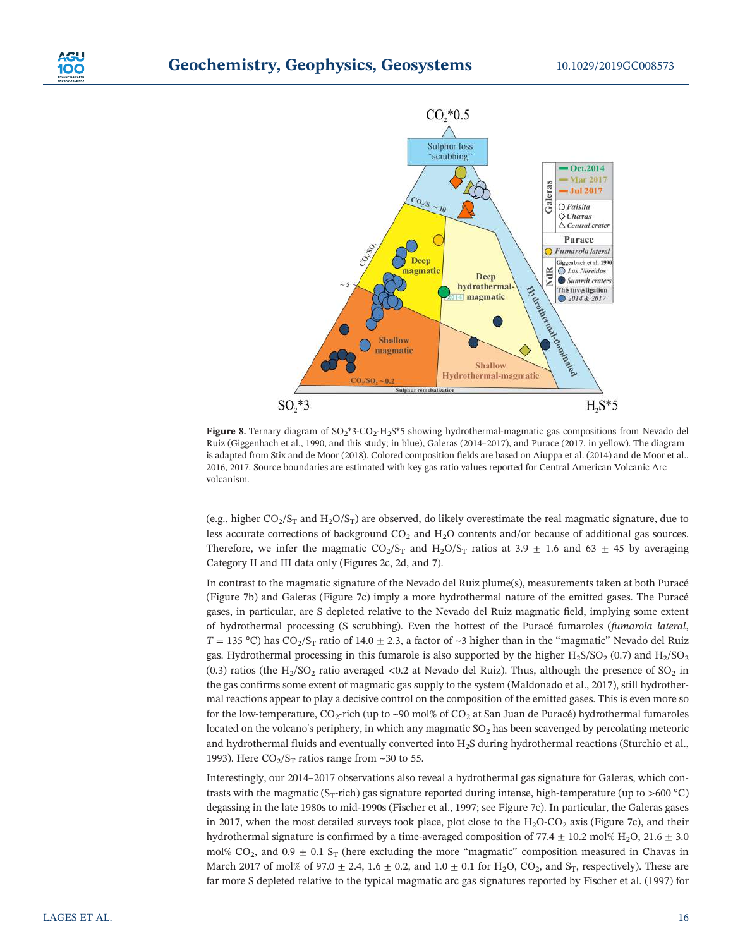



Figure 8. Ternary diagram of SO<sub>2</sub>\*3-CO<sub>2</sub>-H<sub>2</sub>S\*5 showing hydrothermal-magmatic gas compositions from Nevado del Ruiz (Giggenbach et al., 1990, and this study; in blue), Galeras (2014–2017), and Purace (2017, in yellow). The diagram is adapted from Stix and de Moor (2018). Colored composition fields are based on Aiuppa et al. (2014) and de Moor et al., 2016, 2017. Source boundaries are estimated with key gas ratio values reported for Central American Volcanic Arc volcanism.

(e.g., higher  $CO_2/S_T$  and  $H_2O/S_T$ ) are observed, do likely overestimate the real magmatic signature, due to less accurate corrections of background  $CO<sub>2</sub>$  and  $H<sub>2</sub>O$  contents and/or because of additional gas sources. Therefore, we infer the magmatic  $CO_2/S_T$  and  $H_2O/S_T$  ratios at 3.9  $\pm$  1.6 and 63  $\pm$  45 by averaging Category II and III data only (Figures 2c, 2d, and 7).

In contrast to the magmatic signature of the Nevado del Ruiz plume(s), measurements taken at both Puracé (Figure 7b) and Galeras (Figure 7c) imply a more hydrothermal nature of the emitted gases. The Puracé gases, in particular, are S depleted relative to the Nevado del Ruiz magmatic field, implying some extent of hydrothermal processing (S scrubbing). Even the hottest of the Puracé fumaroles (fumarola lateral,  $T = 135 \text{ °C}$ ) has CO<sub>2</sub>/S<sub>T</sub> ratio of 14.0  $\pm$  2.3, a factor of ~3 higher than in the "magmatic" Nevado del Ruiz gas. Hydrothermal processing in this fumarole is also supported by the higher  $H_2S/SO_2$  (0.7) and  $H_2/SO_2$ (0.3) ratios (the  $H_2/SO_2$  ratio averaged <0.2 at Nevado del Ruiz). Thus, although the presence of SO<sub>2</sub> in the gas confirms some extent of magmatic gas supply to the system (Maldonado et al., 2017), still hydrothermal reactions appear to play a decisive control on the composition of the emitted gases. This is even more so for the low-temperature, CO<sub>2</sub>-rich (up to ~90 mol% of CO<sub>2</sub> at San Juan de Puracé) hydrothermal fumaroles located on the volcano's periphery, in which any magmatic  $SO<sub>2</sub>$  has been scavenged by percolating meteoric and hydrothermal fluids and eventually converted into H2S during hydrothermal reactions (Sturchio et al., 1993). Here  $CO<sub>2</sub>/S<sub>T</sub>$  ratios range from ~30 to 55.

Interestingly, our 2014–2017 observations also reveal a hydrothermal gas signature for Galeras, which contrasts with the magmatic (S<sub>T</sub>-rich) gas signature reported during intense, high-temperature (up to >600 °C) degassing in the late 1980s to mid‐1990s (Fischer et al., 1997; see Figure 7c). In particular, the Galeras gases in 2017, when the most detailed surveys took place, plot close to the  $H_2O$ -CO<sub>2</sub> axis (Figure 7c), and their hydrothermal signature is confirmed by a time-averaged composition of 77.4  $\pm$  10.2 mol% H<sub>2</sub>O, 21.6  $\pm$  3.0 mol% CO<sub>2</sub>, and 0.9  $\pm$  0.1 S<sub>T</sub> (here excluding the more "magmatic" composition measured in Chavas in March 2017 of mol% of 97.0  $\pm$  2.4, 1.6  $\pm$  0.2, and 1.0  $\pm$  0.1 for H<sub>2</sub>O, CO<sub>2</sub>, and S<sub>T</sub>, respectively). These are far more S depleted relative to the typical magmatic arc gas signatures reported by Fischer et al. (1997) for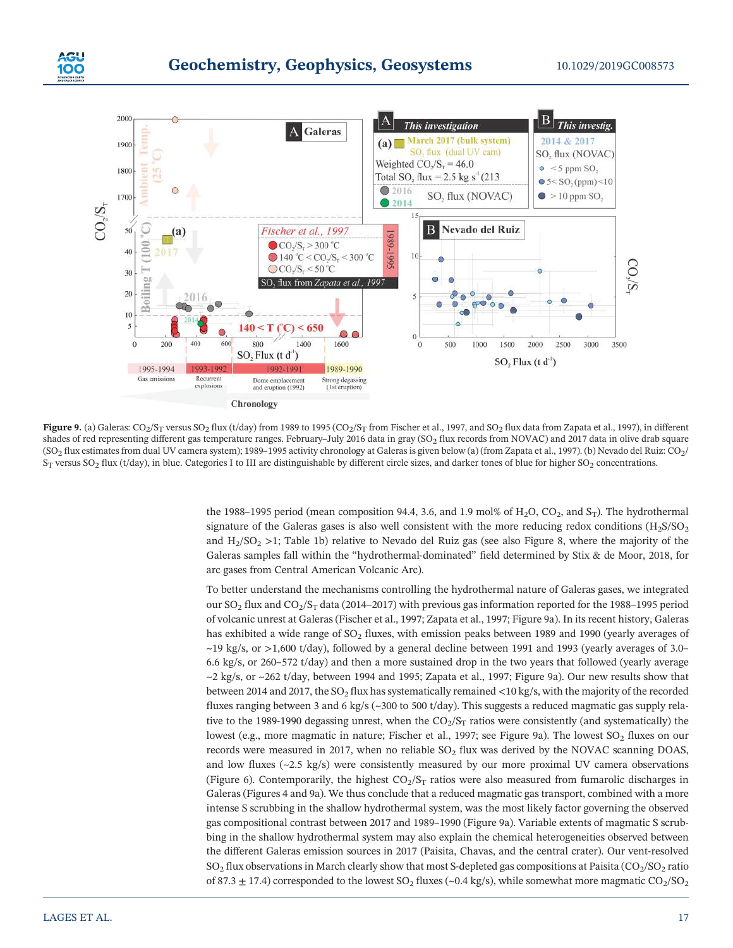



Figure 9. (a) Galeras:  $CO_2/S_T$  versus  $SO_2$  flux (t/day) from 1989 to 1995 ( $CO_2/S_T$  from Fischer et al., 1997, and  $SO_2$  flux data from Zapata et al., 1997), in different shades of red representing different gas temperature ranges. February–July 2016 data in gray ( $SO<sub>2</sub>$  flux records from NOVAC) and 2017 data in olive drab square (SO<sub>2</sub> flux estimates from dual UV camera system); 1989–1995 activity chronology at Galeras is given below (a) (from Zapata et al., 1997). (b) Nevado del Ruiz: CO<sub>2</sub>/  $S_T$  versus SO<sub>2</sub> flux (t/day), in blue. Categories I to III are distinguishable by different circle sizes, and darker tones of blue for higher SO<sub>2</sub> concentrations.

the 1988–1995 period (mean composition 94.4, 3.6, and 1.9 mol% of H<sub>2</sub>O, CO<sub>2</sub>, and  $S_T$ ). The hydrothermal signature of the Galeras gases is also well consistent with the more reducing redox conditions  $(H<sub>2</sub>S/SO<sub>2</sub>)$ and  $H_2/SO_2 >1$ ; Table 1b) relative to Nevado del Ruiz gas (see also Figure 8, where the majority of the Galeras samples fall within the "hydrothermal‐dominated" field determined by Stix & de Moor, 2018, for arc gases from Central American Volcanic Arc).

To better understand the mechanisms controlling the hydrothermal nature of Galeras gases, we integrated our  $SO_2$  flux and  $CO_2/S_T$  data (2014–2017) with previous gas information reported for the 1988–1995 period of volcanic unrest at Galeras (Fischer et al., 1997; Zapata et al., 1997; Figure 9a). In its recent history, Galeras has exhibited a wide range of  $SO<sub>2</sub>$  fluxes, with emission peaks between 1989 and 1990 (yearly averages of  $\sim$ 19 kg/s, or  $>1,600$  t/day), followed by a general decline between 1991 and 1993 (yearly averages of 3.0– 6.6 kg/s, or 260–572 t/day) and then a more sustained drop in the two years that followed (yearly average  $\sim$ 2 kg/s, or  $\sim$ 262 t/day, between 1994 and 1995; Zapata et al., 1997; Figure 9a). Our new results show that between 2014 and 2017, the SO<sub>2</sub> flux has systematically remained <10 kg/s, with the majority of the recorded fluxes ranging between 3 and 6 kg/s (~300 to 500 t/day). This suggests a reduced magmatic gas supply relative to the 1989-1990 degassing unrest, when the  $CO_2/S_T$  ratios were consistently (and systematically) the lowest (e.g., more magmatic in nature; Fischer et al., 1997; see Figure 9a). The lowest  $SO_2$  fluxes on our records were measured in 2017, when no reliable  $SO<sub>2</sub>$  flux was derived by the NOVAC scanning DOAS, and low fluxes (~2.5 kg/s) were consistently measured by our more proximal UV camera observations (Figure 6). Contemporarily, the highest  $CO_2/S_T$  ratios were also measured from fumarolic discharges in Galeras (Figures 4 and 9a). We thus conclude that a reduced magmatic gas transport, combined with a more intense S scrubbing in the shallow hydrothermal system, was the most likely factor governing the observed gas compositional contrast between 2017 and 1989–1990 (Figure 9a). Variable extents of magmatic S scrubbing in the shallow hydrothermal system may also explain the chemical heterogeneities observed between the different Galeras emission sources in 2017 (Paisita, Chavas, and the central crater). Our vent-resolved  $SO_2$  flux observations in March clearly show that most S-depleted gas compositions at Paisita ( $CO_2/SO_2$  ratio of 87.3  $\pm$  17.4) corresponded to the lowest SO<sub>2</sub> fluxes (~0.4 kg/s), while somewhat more magmatic CO<sub>2</sub>/SO<sub>2</sub>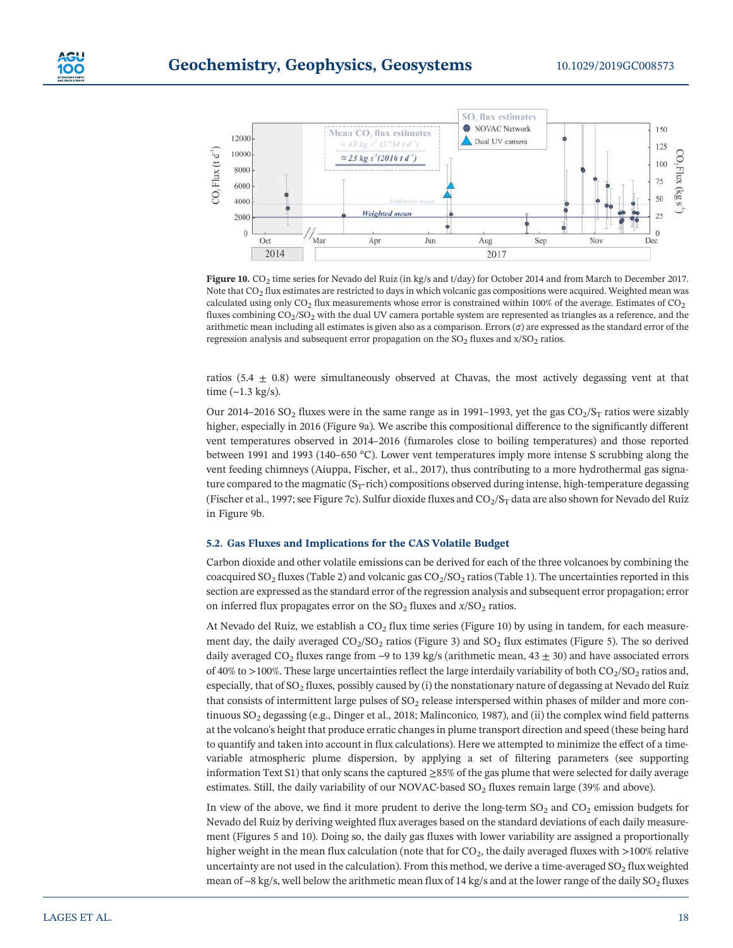

Figure 10. CO2 time series for Nevado del Ruiz (in kg/s and t/day) for October 2014 and from March to December 2017. Note that CO<sub>2</sub> flux estimates are restricted to days in which volcanic gas compositions were acquired. Weighted mean was calculated using only  $CO<sub>2</sub>$  flux measurements whose error is constrained within 100% of the average. Estimates of  $CO<sub>2</sub>$ fluxes combining CO<sub>2</sub>/SO<sub>2</sub> with the dual UV camera portable system are represented as triangles as a reference, and the arithmetic mean including all estimates is given also as a comparison. Errors  $(\sigma)$  are expressed as the standard error of the regression analysis and subsequent error propagation on the  $SO_2$  fluxes and  $x/SO_2$  ratios.

ratios (5.4  $\pm$  0.8) were simultaneously observed at Chavas, the most actively degassing vent at that time  $(-1.3 \text{ kg/s})$ .

Our 2014–2016 SO<sub>2</sub> fluxes were in the same range as in 1991–1993, yet the gas  $CO_2/S_T$  ratios were sizably higher, especially in 2016 (Figure 9a). We ascribe this compositional difference to the significantly different vent temperatures observed in 2014–2016 (fumaroles close to boiling temperatures) and those reported between 1991 and 1993 (140–650 °C). Lower vent temperatures imply more intense S scrubbing along the vent feeding chimneys (Aiuppa, Fischer, et al., 2017), thus contributing to a more hydrothermal gas signature compared to the magmatic ( $S<sub>T</sub>$ -rich) compositions observed during intense, high-temperature degassing (Fischer et al., 1997; see Figure 7c). Sulfur dioxide fluxes and  $CO_2/S_T$  data are also shown for Nevado del Ruiz in Figure 9b.

#### 5.2. Gas Fluxes and Implications for the CAS Volatile Budget

Carbon dioxide and other volatile emissions can be derived for each of the three volcanoes by combining the coacquired  $SO_2$  fluxes (Table 2) and volcanic gas  $CO_2/SO_2$  ratios (Table 1). The uncertainties reported in this section are expressed as the standard error of the regression analysis and subsequent error propagation; error on inferred flux propagates error on the  $SO_2$  fluxes and  $x/SO_2$  ratios.

At Nevado del Ruiz, we establish a  $CO<sub>2</sub>$  flux time series (Figure 10) by using in tandem, for each measurement day, the daily averaged  $CO<sub>2</sub>/SO<sub>2</sub>$  ratios (Figure 3) and SO<sub>2</sub> flux estimates (Figure 5). The so derived daily averaged CO<sub>2</sub> fluxes range from ~9 to 139 kg/s (arithmetic mean,  $43 \pm 30$ ) and have associated errors of 40% to >100%. These large uncertainties reflect the large interdaily variability of both  $CO_2/SO_2$  ratios and, especially, that of  $SO<sub>2</sub>$  fluxes, possibly caused by (i) the nonstationary nature of degassing at Nevado del Ruiz that consists of intermittent large pulses of  $SO<sub>2</sub>$  release interspersed within phases of milder and more continuous SO<sub>2</sub> degassing (e.g., Dinger et al., 2018; Malinconico, 1987), and (ii) the complex wind field patterns at the volcano's height that produce erratic changes in plume transport direction and speed (these being hard to quantify and taken into account in flux calculations). Here we attempted to minimize the effect of a timevariable atmospheric plume dispersion, by applying a set of filtering parameters (see supporting information Text S1) that only scans the captured ≥85% of the gas plume that were selected for daily average estimates. Still, the daily variability of our NOVAC-based  $SO<sub>2</sub>$  fluxes remain large (39% and above).

In view of the above, we find it more prudent to derive the long-term  $SO_2$  and  $CO_2$  emission budgets for Nevado del Ruiz by deriving weighted flux averages based on the standard deviations of each daily measurement (Figures 5 and 10). Doing so, the daily gas fluxes with lower variability are assigned a proportionally higher weight in the mean flux calculation (note that for  $CO<sub>2</sub>$ , the daily averaged fluxes with  $>100\%$  relative uncertainty are not used in the calculation). From this method, we derive a time-averaged  $SO<sub>2</sub>$  flux weighted mean of ~8 kg/s, well below the arithmetic mean flux of 14 kg/s and at the lower range of the daily  $SO_2$  fluxes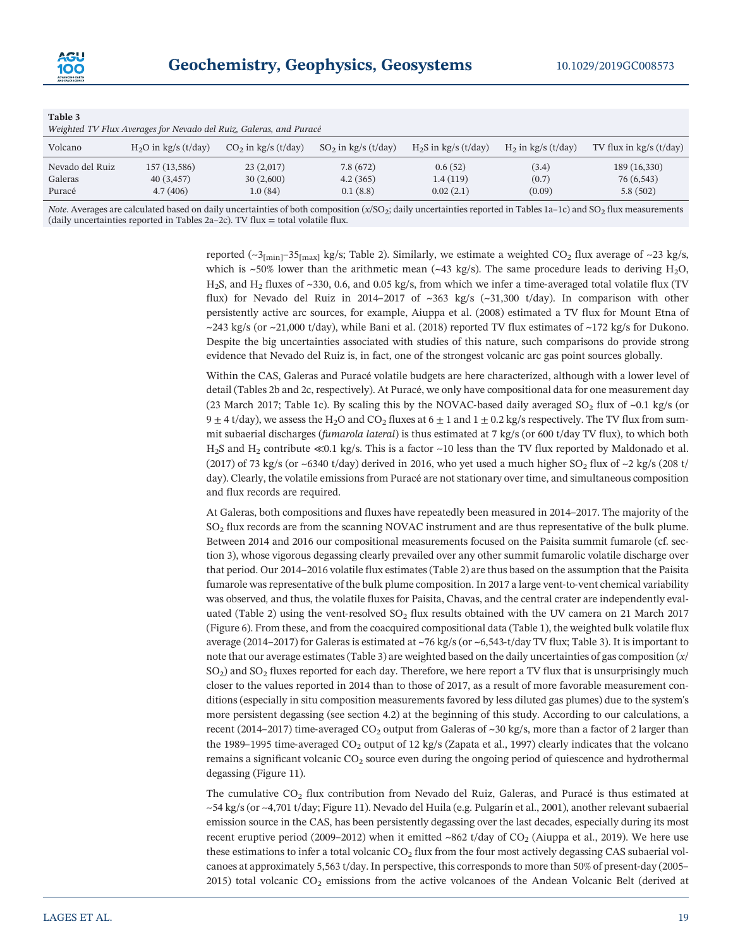| Table 3         |                                                                    |                       |                        |                        |                       |                           |
|-----------------|--------------------------------------------------------------------|-----------------------|------------------------|------------------------|-----------------------|---------------------------|
|                 | Weighted TV Flux Averages for Nevado del Ruiz, Galeras, and Puracé |                       |                        |                        |                       |                           |
| Volcano         | $H2O$ in kg/s (t/day)                                              | $CO2$ in kg/s (t/day) | $SO_2$ in kg/s (t/day) | $H_2S$ in kg/s (t/day) | $H_2$ in kg/s (t/day) | TV flux in $kg/s$ (t/day) |
| Nevado del Ruiz | 157 (13,586)                                                       | 23(2,017)             | 7.8(672)               | 0.6(52)                | (3.4)                 | 189 (16,330)              |
| Galeras         | 40 (3,457)                                                         | 30(2,600)             | 4.2(365)               | 1.4(119)               | (0.7)                 | 76 (6,543)                |
| Puracé          | 4.7(406)                                                           | 1.0(84)               | 0.1(8.8)               | 0.02(2.1)              | (0.09)                | 5.8(502)                  |

Note. Averages are calculated based on daily uncertainties of both composition  $(x/SO<sub>2</sub>;$  daily uncertainties reported in Tables 1a-1c) and SO<sub>2</sub> flux measurements (daily uncertainties reported in Tables 2a–2c). TV flux  $=$  total volatile flux.

> reported ( $\sim$ 3 $_{\text{fmin}}$ –35 $_{\text{fmax}}$  kg/s; Table 2). Similarly, we estimate a weighted CO<sub>2</sub> flux average of  $\sim$ 23 kg/s, which is  $~50\%$  lower than the arithmetic mean ( $~43$  kg/s). The same procedure leads to deriving H<sub>2</sub>O,  $H<sub>2</sub>S$ , and  $H<sub>2</sub>$  fluxes of ~330, 0.6, and 0.05 kg/s, from which we infer a time-averaged total volatile flux (TV flux) for Nevado del Ruiz in 2014–2017 of ~363 kg/s (~31,300 t/day). In comparison with other persistently active arc sources, for example, Aiuppa et al. (2008) estimated a TV flux for Mount Etna of  $\sim$ 243 kg/s (or  $\sim$ 21,000 t/day), while Bani et al. (2018) reported TV flux estimates of  $\sim$ 172 kg/s for Dukono. Despite the big uncertainties associated with studies of this nature, such comparisons do provide strong evidence that Nevado del Ruiz is, in fact, one of the strongest volcanic arc gas point sources globally.

> Within the CAS, Galeras and Puracé volatile budgets are here characterized, although with a lower level of detail (Tables 2b and 2c, respectively). At Puracé, we only have compositional data for one measurement day (23 March 2017; Table 1c). By scaling this by the NOVAC-based daily averaged  $SO_2$  flux of ~0.1 kg/s (or  $9 \pm 4$  t/day), we assess the H<sub>2</sub>O and CO<sub>2</sub> fluxes at  $6 \pm 1$  and  $1 \pm 0.2$  kg/s respectively. The TV flux from summit subaerial discharges (fumarola lateral) is thus estimated at 7 kg/s (or 600 t/day TV flux), to which both H2S and H2 contribute ≪0.1 kg/s. This is a factor ~10 less than the TV flux reported by Maldonado et al. (2017) of 73 kg/s (or ~6340 t/day) derived in 2016, who yet used a much higher SO<sub>2</sub> flux of ~2 kg/s (208 t/ day). Clearly, the volatile emissions from Puracé are not stationary over time, and simultaneous composition and flux records are required.

> At Galeras, both compositions and fluxes have repeatedly been measured in 2014–2017. The majority of the SO2 flux records are from the scanning NOVAC instrument and are thus representative of the bulk plume. Between 2014 and 2016 our compositional measurements focused on the Paisita summit fumarole (cf. section 3), whose vigorous degassing clearly prevailed over any other summit fumarolic volatile discharge over that period. Our 2014–2016 volatile flux estimates (Table 2) are thus based on the assumption that the Paisita fumarole was representative of the bulk plume composition. In 2017 a large vent-to-vent chemical variability was observed, and thus, the volatile fluxes for Paisita, Chavas, and the central crater are independently evaluated (Table 2) using the vent-resolved  $SO<sub>2</sub>$  flux results obtained with the UV camera on 21 March 2017 (Figure 6). From these, and from the coacquired compositional data (Table 1), the weighted bulk volatile flux average (2014–2017) for Galeras is estimated at ~76 kg/s (or ~6,543‐t/day TV flux; Table 3). It is important to note that our average estimates (Table 3) are weighted based on the daily uncertainties of gas composition  $(x/$  $SO<sub>2</sub>$ ) and  $SO<sub>2</sub>$  fluxes reported for each day. Therefore, we here report a TV flux that is unsurprisingly much closer to the values reported in 2014 than to those of 2017, as a result of more favorable measurement conditions (especially in situ composition measurements favored by less diluted gas plumes) due to the system's more persistent degassing (see section 4.2) at the beginning of this study. According to our calculations, a recent (2014–2017) time-averaged  $CO<sub>2</sub>$  output from Galeras of ~30 kg/s, more than a factor of 2 larger than the 1989–1995 time-averaged  $CO_2$  output of 12 kg/s (Zapata et al., 1997) clearly indicates that the volcano remains a significant volcanic  $CO<sub>2</sub>$  source even during the ongoing period of quiescence and hydrothermal degassing (Figure 11).

> The cumulative  $CO<sub>2</sub>$  flux contribution from Nevado del Ruiz, Galeras, and Puracé is thus estimated at ~54 kg/s (or ~4,701 t/day; Figure 11). Nevado del Huila (e.g. Pulgarín et al., 2001), another relevant subaerial emission source in the CAS, has been persistently degassing over the last decades, especially during its most recent eruptive period (2009–2012) when it emitted ~862 t/day of  $CO<sub>2</sub>$  (Aiuppa et al., 2019). We here use these estimations to infer a total volcanic  $CO<sub>2</sub>$  flux from the four most actively degassing CAS subaerial volcanoes at approximately 5,563 t/day. In perspective, this corresponds to more than 50% of present‐day (2005– 2015) total volcanic  $CO<sub>2</sub>$  emissions from the active volcanoes of the Andean Volcanic Belt (derived at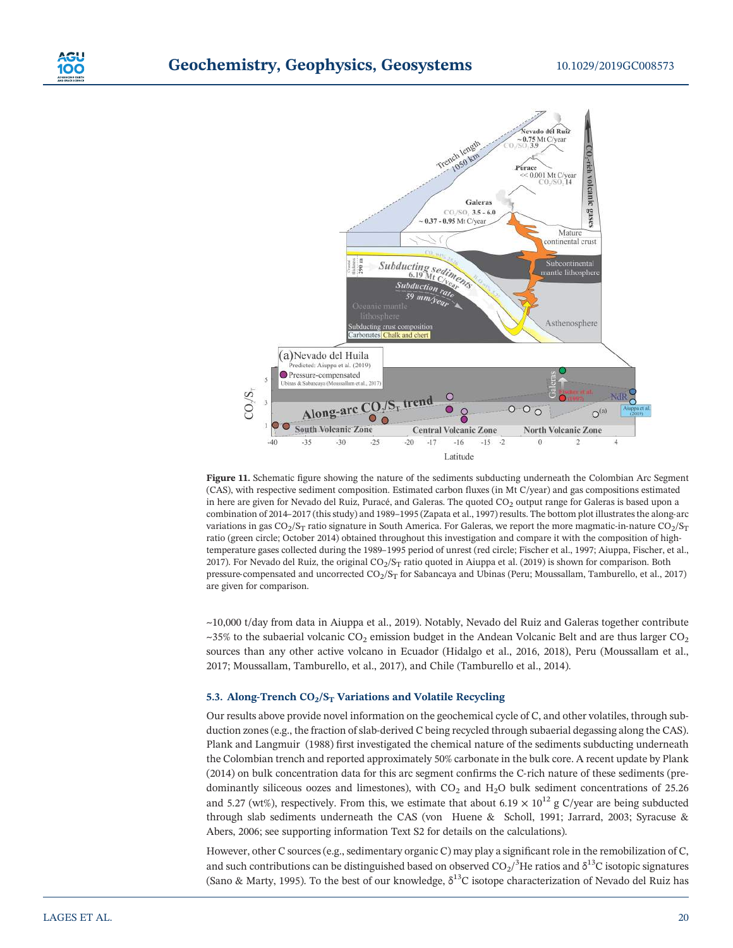

Figure 11. Schematic figure showing the nature of the sediments subducting underneath the Colombian Arc Segment (CAS), with respective sediment composition. Estimated carbon fluxes (in Mt C/year) and gas compositions estimated in here are given for Nevado del Ruiz, Puracé, and Galeras. The quoted  $CO<sub>2</sub>$  output range for Galeras is based upon a combination of 2014–2017 (this study) and 1989–1995 (Zapata et al., 1997) results. The bottom plot illustrates the along-arc variations in gas  $CO_2/S_T$  ratio signature in South America. For Galeras, we report the more magmatic-in-nature  $CO_2/S_T$ ratio (green circle; October 2014) obtained throughout this investigation and compare it with the composition of hightemperature gases collected during the 1989–1995 period of unrest (red circle; Fischer et al., 1997; Aiuppa, Fischer, et al., 2017). For Nevado del Ruiz, the original  $CO_2/S_T$  ratio quoted in Aiuppa et al. (2019) is shown for comparison. Both pressure-compensated and uncorrected  $CO_2/S_T$  for Sabancaya and Ubinas (Peru; Moussallam, Tamburello, et al., 2017) are given for comparison.

~10,000 t/day from data in Aiuppa et al., 2019). Notably, Nevado del Ruiz and Galeras together contribute  $\sim$ 35% to the subaerial volcanic CO<sub>2</sub> emission budget in the Andean Volcanic Belt and are thus larger CO<sub>2</sub> sources than any other active volcano in Ecuador (Hidalgo et al., 2016, 2018), Peru (Moussallam et al., 2017; Moussallam, Tamburello, et al., 2017), and Chile (Tamburello et al., 2014).

### 5.3. Along-Trench  $CO<sub>2</sub>/S<sub>T</sub>$  Variations and Volatile Recycling

Our results above provide novel information on the geochemical cycle of C, and other volatiles, through subduction zones (e.g., the fraction of slab-derived C being recycled through subaerial degassing along the CAS). Plank and Langmuir (1988) first investigated the chemical nature of the sediments subducting underneath the Colombian trench and reported approximately 50% carbonate in the bulk core. A recent update by Plank (2014) on bulk concentration data for this arc segment confirms the C‐rich nature of these sediments (predominantly siliceous oozes and limestones), with  $CO<sub>2</sub>$  and  $H<sub>2</sub>O$  bulk sediment concentrations of 25.26 and 5.27 (wt%), respectively. From this, we estimate that about 6.19  $\times$  10<sup>12</sup> g C/year are being subducted through slab sediments underneath the CAS (von Huene & Scholl, 1991; Jarrard, 2003; Syracuse & Abers, 2006; see supporting information Text S2 for details on the calculations).

However, other C sources (e.g., sedimentary organic C) may play a significant role in the remobilization of C, and such contributions can be distinguished based on observed CO $_2/^3$ He ratios and  $\delta^{13}$ C isotopic signatures (Sano & Marty, 1995). To the best of our knowledge,  $\delta^{13}C$  isotope characterization of Nevado del Ruiz has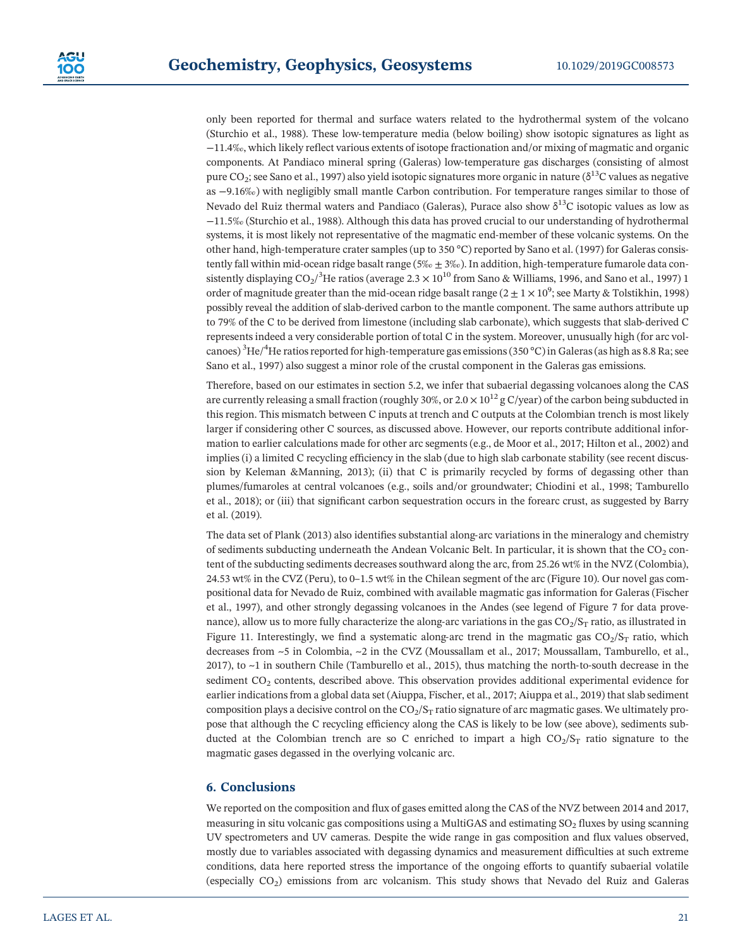only been reported for thermal and surface waters related to the hydrothermal system of the volcano (Sturchio et al., 1988). These low‐temperature media (below boiling) show isotopic signatures as light as −11.4‰, which likely reflect various extents of isotope fractionation and/or mixing of magmatic and organic components. At Pandiaco mineral spring (Galeras) low‐temperature gas discharges (consisting of almost pure CO<sub>2</sub>; see Sano et al., 1997) also yield isotopic signatures more organic in nature ( $\delta^{13}$ C values as negative as −9.16‰) with negligibly small mantle Carbon contribution. For temperature ranges similar to those of Nevado del Ruiz thermal waters and Pandiaco (Galeras), Purace also show δ<sup>13</sup>C isotopic values as low as −11.5‰ (Sturchio et al., 1988). Although this data has proved crucial to our understanding of hydrothermal systems, it is most likely not representative of the magmatic end-member of these volcanic systems. On the other hand, high-temperature crater samples (up to 350 °C) reported by Sano et al. (1997) for Galeras consistently fall within mid-ocean ridge basalt range (5‰ ± 3‰). In addition, high-temperature fumarole data consistently displaying CO $_2$ / $^3$ He ratios (average 2.3  $\times$  10 $^{10}$  from Sano & Williams, 1996, and Sano et al., 1997) 1 order of magnitude greater than the mid-ocean ridge basalt range (2  $\pm$  1  $\times$  10 $^9$ ; see Marty & Tolstikhin, 1998) possibly reveal the addition of slab‐derived carbon to the mantle component. The same authors attribute up to 79% of the C to be derived from limestone (including slab carbonate), which suggests that slab-derived C represents indeed a very considerable portion of total C in the system. Moreover, unusually high (for arc volcanoes)  $\rm{^{3}He/^{4}He}$  ratios reported for high-temperature gas emissions (350 °C) in Galeras (as high as 8.8 Ra; see Sano et al., 1997) also suggest a minor role of the crustal component in the Galeras gas emissions.

Therefore, based on our estimates in section 5.2, we infer that subaerial degassing volcanoes along the CAS are currently releasing a small fraction (roughly 30%, or  $2.0 \times 10^{12}$  g C/year) of the carbon being subducted in this region. This mismatch between C inputs at trench and C outputs at the Colombian trench is most likely larger if considering other C sources, as discussed above. However, our reports contribute additional information to earlier calculations made for other arc segments (e.g., de Moor et al., 2017; Hilton et al., 2002) and implies (i) a limited C recycling efficiency in the slab (due to high slab carbonate stability (see recent discussion by Keleman &Manning, 2013); (ii) that C is primarily recycled by forms of degassing other than plumes/fumaroles at central volcanoes (e.g., soils and/or groundwater; Chiodini et al., 1998; Tamburello et al., 2018); or (iii) that significant carbon sequestration occurs in the forearc crust, as suggested by Barry et al. (2019).

The data set of Plank (2013) also identifies substantial along‐arc variations in the mineralogy and chemistry of sediments subducting underneath the Andean Volcanic Belt. In particular, it is shown that the  $CO<sub>2</sub>$  content of the subducting sediments decreases southward along the arc, from 25.26 wt% in the NVZ (Colombia), 24.53 wt% in the CVZ (Peru), to 0–1.5 wt% in the Chilean segment of the arc (Figure 10). Our novel gas compositional data for Nevado de Ruiz, combined with available magmatic gas information for Galeras (Fischer et al., 1997), and other strongly degassing volcanoes in the Andes (see legend of Figure 7 for data provenance), allow us to more fully characterize the along-arc variations in the gas  $CO_2/S_T$  ratio, as illustrated in Figure 11. Interestingly, we find a systematic along-arc trend in the magmatic gas  $CO_2/S_T$  ratio, which decreases from ~5 in Colombia, ~2 in the CVZ (Moussallam et al., 2017; Moussallam, Tamburello, et al., 2017), to ~1 in southern Chile (Tamburello et al., 2015), thus matching the north-to-south decrease in the sediment CO<sub>2</sub> contents, described above. This observation provides additional experimental evidence for earlier indications from a global data set (Aiuppa, Fischer, et al., 2017; Aiuppa et al., 2019) that slab sediment composition plays a decisive control on the  $CO_2/S_T$  ratio signature of arc magmatic gases. We ultimately propose that although the C recycling efficiency along the CAS is likely to be low (see above), sediments subducted at the Colombian trench are so C enriched to impart a high  $CO<sub>2</sub>/S<sub>T</sub>$  ratio signature to the magmatic gases degassed in the overlying volcanic arc.

# 6. Conclusions

We reported on the composition and flux of gases emitted along the CAS of the NVZ between 2014 and 2017, measuring in situ volcanic gas compositions using a MultiGAS and estimating  $SO<sub>2</sub>$  fluxes by using scanning UV spectrometers and UV cameras. Despite the wide range in gas composition and flux values observed, mostly due to variables associated with degassing dynamics and measurement difficulties at such extreme conditions, data here reported stress the importance of the ongoing efforts to quantify subaerial volatile (especially  $CO<sub>2</sub>$ ) emissions from arc volcanism. This study shows that Nevado del Ruiz and Galeras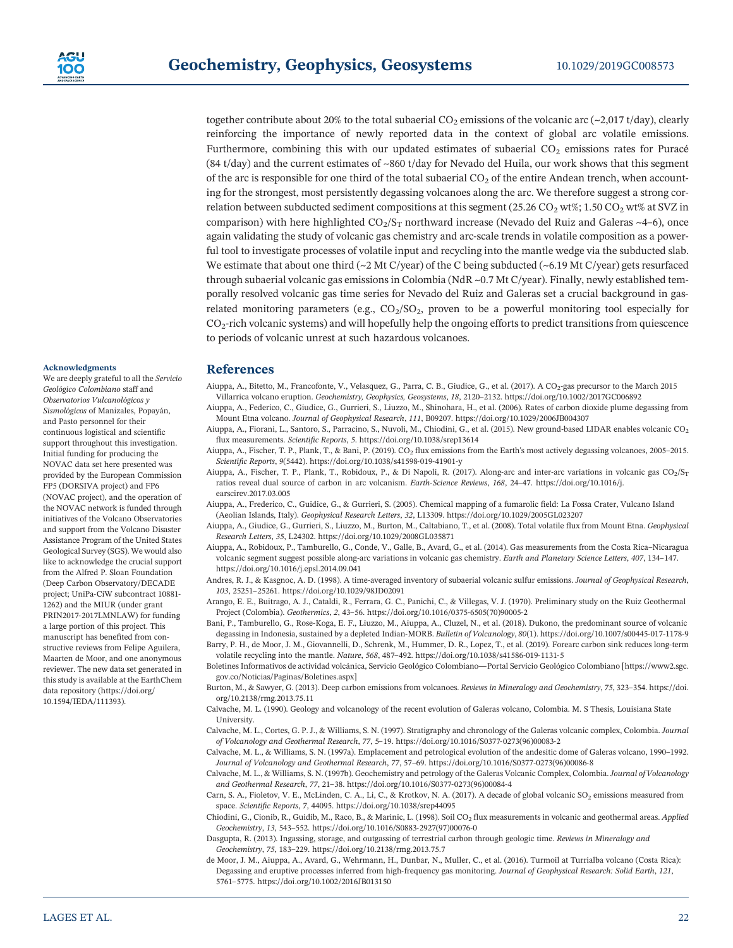together contribute about 20% to the total subaerial  $CO<sub>2</sub>$  emissions of the volcanic arc (~2,017 t/day), clearly reinforcing the importance of newly reported data in the context of global arc volatile emissions. Furthermore, combining this with our updated estimates of subaerial  $CO<sub>2</sub>$  emissions rates for Puracé (84 t/day) and the current estimates of ~860 t/day for Nevado del Huila, our work shows that this segment of the arc is responsible for one third of the total subaerial  $CO<sub>2</sub>$  of the entire Andean trench, when accounting for the strongest, most persistently degassing volcanoes along the arc. We therefore suggest a strong correlation between subducted sediment compositions at this segment (25.26 CO<sub>2</sub> wt%; 1.50 CO<sub>2</sub> wt% at SVZ in comparison) with here highlighted  $CO_2/S_T$  northward increase (Nevado del Ruiz and Galeras ~4–6), once again validating the study of volcanic gas chemistry and arc‐scale trends in volatile composition as a powerful tool to investigate processes of volatile input and recycling into the mantle wedge via the subducted slab. We estimate that about one third  $\left(\sim 2 \text{ Mt C/year}\right)$  of the C being subducted  $\left(\sim 6.19 \text{ Mt C/year}\right)$  gets resurfaced through subaerial volcanic gas emissions in Colombia (NdR ~0.7 Mt C/year). Finally, newly established temporally resolved volcanic gas time series for Nevado del Ruiz and Galeras set a crucial background in gas‐ related monitoring parameters (e.g.,  $CO<sub>2</sub>/SO<sub>2</sub>$ , proven to be a powerful monitoring tool especially for  $CO<sub>2</sub>$ -rich volcanic systems) and will hopefully help the ongoing efforts to predict transitions from quiescence to periods of volcanic unrest at such hazardous volcanoes.

#### Acknowledgments

We are deeply grateful to all the Servicio Geológico Colombiano staff and Observatorios Vulcanológicos y Sismológicos of Manizales, Popayán, and Pasto personnel for their continuous logistical and scientific support throughout this investigation. Initial funding for producing the NOVAC data set here presented was provided by the European Commission FP5 (DORSIVA project) and FP6 (NOVAC project), and the operation of the NOVAC network is funded through initiatives of the Volcano Observatories and support from the Volcano Disaster Assistance Program of the United States Geological Survey (SGS). We would also like to acknowledge the crucial support from the Alfred P. Sloan Foundation (Deep Carbon Observatory/DECADE project; UniPa‐CiW subcontract 10881‐ 1262) and the MIUR (under grant PRIN2017‐2017LMNLAW) for funding a large portion of this project. This manuscript has benefited from constructive reviews from Felipe Aguilera, Maarten de Moor, and one anonymous reviewer. The new data set generated in this study is available at the EarthChem data repository (https://doi.org/ 10.1594/IEDA/111393).

# References

- Aiuppa, A., Bitetto, M., Francofonte, V., Velasquez, G., Parra, C. B., Giudice, G., et al. (2017). A CO<sub>2</sub>-gas precursor to the March 2015 Villarrica volcano eruption. Geochemistry, Geophysics, Geosystems, 18, 2120–2132.<https://doi.org/10.1002/2017GC006892>
- Aiuppa, A., Federico, C., Giudice, G., Gurrieri, S., Liuzzo, M., Shinohara, H., et al. (2006). Rates of carbon dioxide plume degassing from Mount Etna volcano. Journal of Geophysical Research, 111, B09207.<https://doi.org/10.1029/2006JB004307>
- Aiuppa, A., Fiorani, L., Santoro, S., Parracino, S., Nuvoli, M., Chiodini, G., et al. (2015). New ground-based LIDAR enables volcanic CO<sub>2</sub> flux measurements. Scientific Reports, 5.<https://doi.org/10.1038/srep13614>
- Aiuppa, A., Fischer, T. P., Plank, T., & Bani, P. (2019). CO<sub>2</sub> flux emissions from the Earth's most actively degassing volcanoes, 2005-2015. Scientific Reports, 9(5442). [https://doi.org/10.1038/s41598](https://doi.org/10.1038/s41598-019-41901-y)‐019‐41901‐y
- Aiuppa, A., Fischer, T. P., Plank, T., Robidoux, P., & Di Napoli, R. (2017). Along-arc and inter-arc variations in volcanic gas CO<sub>2</sub>/S<sub>T</sub> rations, reveal dual source of carbon in arc volcanism. Earth solid in the same state of carbon in expectating Reports,  $\theta$ (S442). https://doi.org/10.1018/s/41598-019-41901-y<br>Scientific Reports,  $\theta$ (S442). https://doi.o [earscirev.2017.03.005](https://doi.org/10.1016/j.earscirev.2017.03.005)
- Aiuppa, A., Frederico, C., Guidice, G., & Gurrieri, S. (2005). Chemical mapping of a fumarolic field: La Fossa Crater, Vulcano Island (Aeolian Islands, Italy). Geophysical Research Letters, 32, L13309.<https://doi.org/10.1029/2005GL023207>
- Aiuppa, A., Giudice, G., Gurrieri, S., Liuzzo, M., Burton, M., Caltabiano, T., et al. (2008). Total volatile flux from Mount Etna. Geophysical Research Letters, 35, L24302.<https://doi.org/10.1029/2008GL035871>
- Aiuppa, A., Robidoux, P., Tamburello, G., Conde, V., Galle, B., Avard, G., et al. (2014). Gas measurements from the Costa Rica–Nicaragua volcanic segment suggest possible along-arc variations in volcanic gas chemistry. Earth and Planetary Science Letters, 407, 134-147. <https://doi.org/10.1016/j.epsl.2014.09.041>
- Andres, R. J., & Kasgnoc, A. D. (1998). A time‐averaged inventory of subaerial volcanic sulfur emissions. Journal of Geophysical Research, 103, 25251–25261.<https://doi.org/10.1029/98JD02091>
- Arango, E. E., Buitrago, A. J., Cataldi, R., Ferrara, G. C., Panichi, C., & Villegas, V. J. (1970). Preliminary study on the Ruiz Geothermal Project (Colombia). Geothermics, 2, 43–56. [https://doi.org/10.1016/0375](https://doi.org/10.1016/0375-6505(70)90005-2)‐6505(70)90005‐2
- Bani, P., Tamburello, G., Rose-Koga, E. F., Liuzzo, M., Aiuppa, A., Cluzel, N., et al. (2018). Dukono, the predominant source of volcanic degassing in Indonesia, sustained by a depleted Indian‐MORB. Bulletin of Volcanology, 80(1). [https://doi.org/10.1007/s00445](https://doi.org/10.1007/s00445-017-1178-9)‐017‐1178‐9
- Barry, P. H., de Moor, J. M., Giovannelli, D., Schrenk, M., Hummer, D. R., Lopez, T., et al. (2019). Forearc carbon sink reduces long‐term volatile recycling into the mantle. Nature, 568, 487-492. [https://doi.org/10.1038/s41586](https://doi.org/10.1038/s41586-019-1131-5)-019-1131-5
- Boletines Informativos de actividad volcánica, Servicio Geológico Colombiano—Portal Servicio Geológico Colombiano [https://www2.sgc. gov.co/Noticias/Paginas/Boletines.aspx]
- Burton, M., & Sawyer, G. (2013). Deep carbon emissions from volcanoes. Reviews in Mineralogy and Geochemistry, 75, 323–354. [https://doi.](https://doi.org/10.2138/rmg.2013.75.11) [org/10.2138/rmg.2013.75.11](https://doi.org/10.2138/rmg.2013.75.11)
- Calvache, M. L. (1990). Geology and volcanology of the recent evolution of Galeras volcano, Colombia. M. S Thesis, Louisiana State University.
- Calvache, M. L., Cortes, G. P. J., & Williams, S. N. (1997). Stratigraphy and chronology of the Galeras volcanic complex, Colombia. Journal of Volcanology and Geothermal Research, 77, 5–19. [https://doi.org/10.1016/S0377](https://doi.org/10.1016/S0377-0273(96)00083-2)‐0273(96)00083‐2
- Calvache, M. L., & Williams, S. N. (1997a). Emplacement and petrological evolution of the andesitic dome of Galeras volcano, 1990–1992. Journal of Volcanology and Geothermal Research, 77, 57–69. [https://doi.org/10.1016/S0377](https://doi.org/10.1016/S0377-0273(96)00086-8)‐0273(96)00086‐8
- Calvache, M. L., & Williams, S. N. (1997b). Geochemistry and petrology of the Galeras Volcanic Complex, Colombia. Journal of Volcanology and Geothermal Research, 77, 21–38. [https://doi.org/10.1016/S0377](https://doi.org/10.1016/S0377-0273(96)00084-4)‐0273(96)00084‐4
- Carn, S. A., Fioletov, V. E., McLinden, C. A., Li, C., & Krotkov, N. A. (2017). A decade of global volcanic SO<sub>2</sub> emissions measured from space. Scientific Reports, 7, 44095.<https://doi.org/10.1038/srep44095>
- Chiodini, G., Cionib, R., Guidib, M., Raco, B., & Marinic, L. (1998). Soil CO<sub>2</sub> flux measurements in volcanic and geothermal areas. Applied Geochemistry, 13, 543–552. [https://doi.org/10.1016/S0883](https://doi.org/10.1016/S0883-2927(97)00076-0)‐2927(97)00076‐0
- Dasgupta, R. (2013). Ingassing, storage, and outgassing of terrestrial carbon through geologic time. Reviews in Mineralogy and Geochemistry, 75, 183–229.<https://doi.org/10.2138/rmg.2013.75.7>
- de Moor, J. M., Aiuppa, A., Avard, G., Wehrmann, H., Dunbar, N., Muller, C., et al. (2016). Turmoil at Turrialba volcano (Costa Rica): Degassing and eruptive processes inferred from high‐frequency gas monitoring. Journal of Geophysical Research: Solid Earth, 121, 5761–5775.<https://doi.org/10.1002/2016JB013150>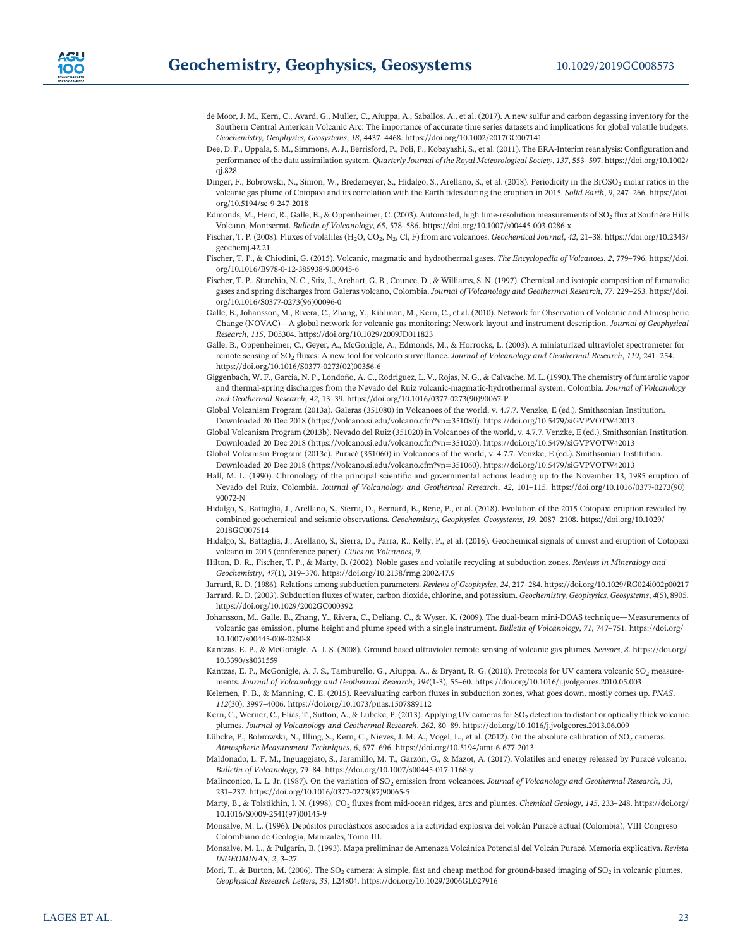- de Moor, J. M., Kern, C., Avard, G., Muller, C., Aiuppa, A., Saballos, A., et al. (2017). A new sulfur and carbon degassing inventory for the Southern Central American Volcanic Arc: The importance of accurate time series datasets and implications for global volatile budgets. Geochemistry, Geophysics, Geosystems, 18, 4437–4468.<https://doi.org/10.1002/2017GC007141>
- Dee, D. P., Uppala, S. M., Simmons, A. J., Berrisford, P., Poli, P., Kobayashi, S., et al. (2011). The ERA‐Interim reanalysis: Configuration and performance of the data assimilation system. Quarterly Journal of the Royal Meteorological Society, 137, 553–597. [https://doi.org/10.1002/](https://doi.org/10.1002/qj.828) [qj.828](https://doi.org/10.1002/qj.828)
- Dinger, F., Bobrowski, N., Simon, W., Bredemeyer, S., Hidalgo, S., Arellano, S., et al. (2018). Periodicity in the BrOSO<sub>2</sub> molar ratios in the volcanic gas plume of Cotopaxi and its correlation with the Earth tides during the eruption in 2015. Solid Earth, 9, 247–266. [https://doi.](https://doi.org/10.5194/se-9-247-2018) [org/10.5194/se](https://doi.org/10.5194/se-9-247-2018)‐9‐247‐2018
- Edmonds, M., Herd, R., Galle, B., & Oppenheimer, C. (2003). Automated, high time-resolution measurements of SO<sub>2</sub> flux at Soufrière Hills Volcano, Montserrat. Bulletin of Volcanology, 65, 578–586. [https://doi.org/10.1007/s00445](https://doi.org/10.1007/s00445-003-0286-x)‐003‐0286‐x
- Fischer, T. P. (2008). Fluxes of volatiles (H<sub>2</sub>O, CO<sub>2</sub>, N<sub>2</sub>, Cl, F) from arc volcanoes. Geochemical Journal, 42, 21-38. [https://doi.org/10.2343/](https://doi.org/10.2343/geochemj.42.21) [geochemj.42.21](https://doi.org/10.2343/geochemj.42.21)
- Fischer, T. P., & Chiodini, G. (2015). Volcanic, magmatic and hydrothermal gases. The Encyclopedia of Volcanoes, 2, 779–796. [https://doi.](https://doi.org/10.1016/B978-0-12-385938-9.00045-6) [org/10.1016/B978](https://doi.org/10.1016/B978-0-12-385938-9.00045-6)‐0‐12‐385938‐9.00045‐6
- Fischer, T. P., Sturchio, N. C., Stix, J., Arehart, G. B., Counce, D., & Williams, S. N. (1997). Chemical and isotopic composition of fumarolic gases and spring discharges from Galeras volcano, Colombia. Journal of Volcanology and Geothermal Research, 77, 229–253. [https://doi.](https://doi.org/10.1016/S0377-0273(96)00096-0) [org/10.1016/S0377](https://doi.org/10.1016/S0377-0273(96)00096-0)‐0273(96)00096‐0
- Galle, B., Johansson, M., Rivera, C., Zhang, Y., Kihlman, M., Kern, C., et al. (2010). Network for Observation of Volcanic and Atmospheric Change (NOVAC)—A global network for volcanic gas monitoring: Network layout and instrument description. Journal of Geophysical Research, 115, D05304.<https://doi.org/10.1029/2009JD011823>
- Galle, B., Oppenheimer, C., Geyer, A., McGonigle, A., Edmonds, M., & Horrocks, L. (2003). A miniaturized ultraviolet spectrometer for remote sensing of SO2 fluxes: A new tool for volcano surveillance. Journal of Volcanology and Geothermal Research, 119, 241–254. [https://doi.org/10.1016/S0377](https://doi.org/10.1016/S0377-0273(02)00356-6)‐0273(02)00356‐6
- Giggenbach, W. F., Garcia, N. P., Londoño, A. C., Rodriguez, L. V., Rojas, N. G., & Calvache, M. L. (1990). The chemistry of fumarolic vapor and thermal-spring discharges from the Nevado del Ruiz volcanic-magmatic-hydrothermal system, Colombia. Journal of Volcanology and Geothermal Research, 42, 13–39. [https://doi.org/10.1016/0377](https://doi.org/10.1016/0377-0273(90)90067-P)‐0273(90)90067‐P
- Global Volcanism Program (2013a). Galeras (351080) in Volcanoes of the world, v. 4.7.7. Venzke, E (ed.). Smithsonian Institution. Downloaded 20 Dec 2018 (https://volcano.si.edu/volcano.cfm?vn=351080).<https://doi.org/10.5479/siGVPVOTW42013>
- Global Volcanism Program (2013b). Nevado del Ruiz (351020) in Volcanoes of the world, v. 4.7.7. Venzke, E (ed.). Smithsonian Institution. Downloaded 20 Dec 2018 (https://volcano.si.edu/volcano.cfm?vn=351020).<https://doi.org/10.5479/siGVPVOTW42013>
- Global Volcanism Program (2013c). Puracé (351060) in Volcanoes of the world, v. 4.7.7. Venzke, E (ed.). Smithsonian Institution. Downloaded 20 Dec 2018 (https://volcano.si.edu/volcano.cfm?vn=351060).<https://doi.org/10.5479/siGVPVOTW42013>
- Hall, M. L. (1990). Chronology of the principal scientific and governmental actions leading up to the November 13, 1985 eruption of Nevado del Ruiz, Colombia. Journal of Volcanology and Geothermal Research, 42, 101–115. [https://doi.org/10.1016/0377](https://doi.org/10.1016/0377-0273(90)90072-N)‐0273(90) [90072](https://doi.org/10.1016/0377-0273(90)90072-N)‐N
- Hidalgo, S., Battaglia, J., Arellano, S., Sierra, D., Bernard, B., Rene, P., et al. (2018). Evolution of the 2015 Cotopaxi eruption revealed by combined geochemical and seismic observations. Geochemistry, Geophysics, Geosystems, 19, 2087–2108. [https://doi.org/10.1029/](https://doi.org/10.1029/2018GC007514) [2018GC007514](https://doi.org/10.1029/2018GC007514)
- Hidalgo, S., Battaglia, J., Arellano, S., Sierra, D., Parra, R., Kelly, P., et al. (2016). Geochemical signals of unrest and eruption of Cotopaxi volcano in 2015 (conference paper). Cities on Volcanoes, 9.
- Hilton, D. R., Fischer, T. P., & Marty, B. (2002). Noble gases and volatile recycling at subduction zones. Reviews in Mineralogy and Geochemistry, 47(1), 319–370.<https://doi.org/10.2138/rmg.2002.47.9>

Jarrard, R. D. (1986). Relations among subduction parameters. Reviews of Geophysics, 24, 217–284.<https://doi.org/10.1029/RG024i002p00217> Jarrard, R. D. (2003). Subduction fluxes of water, carbon dioxide, chlorine, and potassium. Geochemistry, Geophysics, Geosystems, 4(5), 8905. <https://doi.org/10.1029/2002GC000392>

- Johansson, M., Galle, B., Zhang, Y., Rivera, C., Deliang, C., & Wyser, K. (2009). The dual-beam mini-DOAS technique—Measurements of volcanic gas emission, plume height and plume speed with a single instrument. Bulletin of Volcanology, 71, 747–751. [https://doi.org/](https://doi.org/10.1007/s00445-008-0260-8) [10.1007/s00445](https://doi.org/10.1007/s00445-008-0260-8)‐008‐0260‐8
- Kantzas, E. P., & McGonigle, A. J. S. (2008). Ground based ultraviolet remote sensing of volcanic gas plumes. Sensors, 8. [https://doi.org/](https://doi.org/10.3390/s8031559) [10.3390/s8031559](https://doi.org/10.3390/s8031559)
- Kantzas, E. P., McGonigle, A. J. S., Tamburello, G., Aiuppa, A., & Bryant, R. G. (2010). Protocols for UV camera volcanic SO<sub>2</sub> measurements. Journal of Volcanology and Geothermal Research, 194(1‐3), 55–60.<https://doi.org/10.1016/j.jvolgeores.2010.05.003>
- Kelemen, P. B., & Manning, C. E. (2015). Reevaluating carbon fluxes in subduction zones, what goes down, mostly comes up. PNAS, 112(30), 3997–4006.<https://doi.org/10.1073/pnas.1507889112>
- Kern, C., Werner, C., Elias, T., Sutton, A., & Lubcke, P. (2013). Applying UV cameras for SO<sub>2</sub> detection to distant or optically thick volcanic plumes. Journal of Volcanology and Geothermal Research, 262, 80–89.<https://doi.org/10.1016/j.jvolgeores.2013.06.009>
- Lübcke, P., Bobrowski, N., Illing, S., Kern, C., Nieves, J. M. A., Vogel, L., et al. (2012). On the absolute calibration of SO<sub>2</sub> cameras. Atmospheric Measurement Techniques, 6, 677–696. [https://doi.org/10.5194/amt](https://doi.org/10.5194/amt-6-677-2013)‐6‐677‐2013
- Maldonado, L. F. M., Inguaggiato, S., Jaramillo, M. T., Garzón, G., & Mazot, A. (2017). Volatiles and energy released by Puracé volcano. Bulletin of Volcanology, 79–84. [https://doi.org/10.1007/s00445](https://doi.org/10.1007/s00445-017-1168-y)‐017‐1168‐y
- Malinconico, L. L. Jr. (1987). On the variation of  $SO_2$  emission from volcanoes. Journal of Volcanology and Geothermal Research, 33, 231–237. [https://doi.org/10.1016/0377](https://doi.org/10.1016/0377-0273(87)90065-5)‐0273(87)90065‐5
- Marty, B., & Tolstikhin, I. N. (1998). CO<sub>2</sub> fluxes from mid-ocean ridges, arcs and plumes. Chemical Geology, 145, 233-248. [https://doi.org/](https://doi.org/10.1016/S0009-2541(97)00145-9) 10.1016/S0009‐[2541\(97\)00145](https://doi.org/10.1016/S0009-2541(97)00145-9)‐9
- Monsalve, M. L. (1996). Depósitos piroclásticos asociados a la actividad explosiva del volcán Puracé actual (Colombia), VIII Congreso Colombiano de Geología, Manizales, Tomo III.
- Monsalve, M. L., & Pulgarín, B. (1993). Mapa preliminar de Amenaza Volcánica Potencial del Volcán Puracé. Memoria explicativa. Revista INGEOMINAS, 2, 3–27.
- Mori, T., & Burton, M. (2006). The  $SO_2$  camera: A simple, fast and cheap method for ground-based imaging of  $SO_2$  in volcanic plumes. Geophysical Research Letters, 33, L24804.<https://doi.org/10.1029/2006GL027916>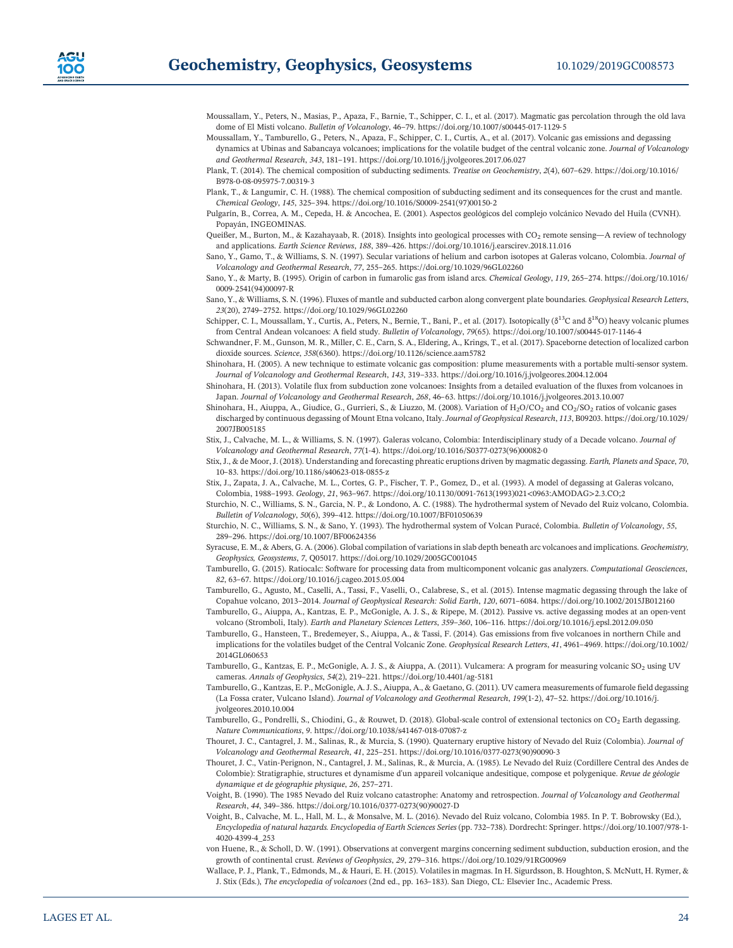- Moussallam, Y., Peters, N., Masias, P., Apaza, F., Barnie, T., Schipper, C. I., et al. (2017). Magmatic gas percolation through the old lava dome of El Misti volcano. Bulletin of Volcanology, 46–79. [https://doi.org/10.1007/s00445](https://doi.org/10.1007/s00445-017-1129-5)-017-1129-5
- Moussallam, Y., Tamburello, G., Peters, N., Apaza, F., Schipper, C. I., Curtis, A., et al. (2017). Volcanic gas emissions and degassing dynamics at Ubinas and Sabancaya volcanoes; implications for the volatile budget of the central volcanic zone. Journal of Volcanology and Geothermal Research, 343, 181–191.<https://doi.org/10.1016/j.jvolgeores.2017.06.027>
- Plank, T. (2014). The chemical composition of subducting sediments. Treatise on Geochemistry, 2(4), 607–629. [https://doi.org/10.1016/](https://doi.org/10.1016/B978-0-08-095975-7.00319-3) B978‐0‐08‐095975‐[7.00319](https://doi.org/10.1016/B978-0-08-095975-7.00319-3)‐3
- Plank, T., & Langumir, C. H. (1988). The chemical composition of subducting sediment and its consequences for the crust and mantle. Chemical Geology, 145, 325–394. [https://doi.org/10.1016/S0009](https://doi.org/10.1016/S0009-2541(97)00150-2)‐2541(97)00150‐2
- Pulgarín, B., Correa, A. M., Cepeda, H. & Ancochea, E. (2001). Aspectos geológicos del complejo volcánico Nevado del Huila (CVNH). Popayán, INGEOMINAS.
- Queißer, M., Burton, M., & Kazahayaab, R. (2018). Insights into geological processes with  $CO_2$  remote sensing-A review of technology and applications. Earth Science Reviews, 188, 389–426.<https://doi.org/10.1016/j.earscirev.2018.11.016>
- Sano, Y., Gamo, T., & Williams, S. N. (1997). Secular variations of helium and carbon isotopes at Galeras volcano, Colombia. Journal of Volcanology and Geothermal Research, 77, 255–265.<https://doi.org/10.1029/96GL02260>
- Sano, Y., & Marty, B. (1995). Origin of carbon in fumarolic gas from island arcs. Chemical Geology, 119, 265–274. [https://doi.org/10.1016/](https://doi.org/10.1016/0009-2541(94)00097-R) 0009‐[2541\(94\)00097](https://doi.org/10.1016/0009-2541(94)00097-R)‐R
- Sano, Y., & Williams, S. N. (1996). Fluxes of mantle and subducted carbon along convergent plate boundaries. Geophysical Research Letters, 23(20), 2749–2752.<https://doi.org/10.1029/96GL02260>
- Schipper, C. I., Moussallam, Y., Curtis, A., Peters, N., Bernie, T., Bani, P., et al. (2017). Isotopically (δ<sup>13</sup>C and δ<sup>18</sup>O) heavy volcanic plumes from Central Andean volcanoes: A field study. Bulletin of Volcanology, 79(65). [https://doi.org/10.1007/s00445](https://doi.org/10.1007/s00445-017-1146-4)‐017‐1146‐4
- Schwandner, F. M., Gunson, M. R., Miller, C. E., Carn, S. A., Eldering, A., Krings, T., et al. (2017). Spaceborne detection of localized carbon dioxide sources. Science, 358(6360).<https://doi.org/10.1126/science.aam5782>
- Shinohara, H. (2005). A new technique to estimate volcanic gas composition: plume measurements with a portable multi-sensor system. Journal of Volcanology and Geothermal Research, 143, 319–333.<https://doi.org/10.1016/j.jvolgeores.2004.12.004>
- Shinohara, H. (2013). Volatile flux from subduction zone volcanoes: Insights from a detailed evaluation of the fluxes from volcanoes in Japan. Journal of Volcanology and Geothermal Research, 268, 46–63.<https://doi.org/10.1016/j.jvolgeores.2013.10.007>
- Shinohara, H., Aiuppa, A., Giudice, G., Gurrieri, S., & Liuzzo, M. (2008). Variation of H<sub>2</sub>O/CO<sub>2</sub> and CO<sub>2</sub>/SO<sub>2</sub> ratios of volcanic gases discharged by continuous degassing of Mount Etna volcano, Italy.Journal of Geophysical Research, 113, B09203. [https://doi.org/10.1029/](https://doi.org/10.1029/2007JB005185) [2007JB005185](https://doi.org/10.1029/2007JB005185)
- Stix, J., Calvache, M. L., & Williams, S. N. (1997). Galeras volcano, Colombia: Interdisciplinary study of a Decade volcano. Journal of Volcanology and Geothermal Research, 77(1‐4). [https://doi.org/10.1016/S0377](https://doi.org/10.1016/S0377-0273(96)00082-0)‐0273(96)00082‐0
- Stix, J., & de Moor, J. (2018). Understanding and forecasting phreatic eruptions driven by magmatic degassing. Earth, Planets and Space, 70, 10–83. [https://doi.org/10.1186/s40623](https://doi.org/10.1186/s40623-018-0855-z)‐018‐0855‐z
- Stix, J., Zapata, J. A., Calvache, M. L., Cortes, G. P., Fischer, T. P., Gomez, D., et al. (1993). A model of degassing at Galeras volcano, Colombia, 1988–1993. Geology, 21, 963–967. https://doi.org/10.1130/0091‐[7613\(1993\)021<0963:AMODAG>2.3.CO;2](https://doi.org/10.1130/0091-7613(1993)021%3c0963:AMODAG%3e2.3.CO;2)
- Sturchio, N. C., Williams, S. N., Garcia, N. P., & Londono, A. C. (1988). The hydrothermal system of Nevado del Ruiz volcano, Colombia. Bulletin of Volcanology, 50(6), 399–412.<https://doi.org/10.1007/BF01050639>
- Sturchio, N. C., Williams, S. N., & Sano, Y. (1993). The hydrothermal system of Volcan Puracé, Colombia. Bulletin of Volcanology, 55, 289–296.<https://doi.org/10.1007/BF00624356>
- Syracuse, E. M., & Abers, G. A. (2006). Global compilation of variations in slab depth beneath arc volcanoes and implications. Geochemistry, Geophysics, Geosystems, 7, Q05017.<https://doi.org/10.1029/2005GC001045>
- Tamburello, G. (2015). Ratiocalc: Software for processing data from multicomponent volcanic gas analyzers. Computational Geosciences, 82, 63–67.<https://doi.org/10.1016/j.cageo.2015.05.004>
- Tamburello, G., Agusto, M., Caselli, A., Tassi, F., Vaselli, O., Calabrese, S., et al. (2015). Intense magmatic degassing through the lake of Copahue volcano, 2013–2014. Journal of Geophysical Research: Solid Earth, 120, 6071–6084.<https://doi.org/10.1002/2015JB012160>
- Tamburello, G., Aiuppa, A., Kantzas, E. P., McGonigle, A. J. S., & Ripepe, M. (2012). Passive vs. active degassing modes at an open‐vent moureilo, G., Agusto, M., Caselli, A., Tassi, F., Vaselli, O., Calabrese, S., et al. (2015). Intense magmatic degassing through t<br>Copahue volcano, 2013–2014. *Journal of Geophysical Research: Solid Earth, 120*, 6071–6084.
- Tamburello, G., Hansteen, T., Bredemeyer, S., Aiuppa, A., & Tassi, F. (2014). Gas emissions from five volcanoes in northern Chile and implications for the volatiles budget of the Central Volcanic Zone. Geophysical Research Letters, 41, 4961–4969. [https://doi.org/10.1002/](https://doi.org/10.1002/2014GL060653) [2014GL060653](https://doi.org/10.1002/2014GL060653)
- Tamburello, G., Kantzas, E. P., McGonigle, A. J. S., & Aiuppa, A. (2011). Vulcamera: A program for measuring volcanic SO<sub>2</sub> using UV cameras. Annals of Geophysics, 54(2), 219–221. [https://doi.org/10.4401/ag](https://doi.org/10.4401/ag-5181)‐5181
- Tamburello, G., Kantzas, E. P., McGonigle, A. J. S., Aiuppa, A., & Gaetano, G. (2011). UV camera measurements of fumarole field degassing (La Fossa crater, Vulcano Island). Journal of Volcanology and Geothermal Research, 199(1‐2), 47–52. [https://doi.org/10.1016/j.](https://doi.org/10.1016/j.jvolgeores.2010.10.004) [jvolgeores.2010.10.004](https://doi.org/10.1016/j.jvolgeores.2010.10.004)
- Tamburello, G., Pondrelli, S., Chiodini, G., & Rouwet, D. (2018). Global-scale control of extensional tectonics on CO<sub>2</sub> Earth degassing. Nature Communications, 9. [https://doi.org/10.1038/s41467](https://doi.org/10.1038/s41467-018-07087-z)‐018‐07087‐z
- Thouret, J. C., Cantagrel, J. M., Salinas, R., & Murcia, S. (1990). Quaternary eruptive history of Nevado del Ruiz (Colombia). Journal of Volcanology and Geothermal Research, 41, 225–251. [https://doi.org/10.1016/0377](https://doi.org/10.1016/0377-0273(90)90090-3)‐0273(90)90090‐3
- Thouret, J. C., Vatin‐Perignon, N., Cantagrel, J. M., Salinas, R., & Murcia, A. (1985). Le Nevado del Ruiz (Cordillere Central des Andes de Colombie): Stratigraphie, structures et dynamisme d'un appareil volcanique andesitique, compose et polygenique. Revue de géologie dynamique et de géographie physique, 26, 257–271.
- Voight, B. (1990). The 1985 Nevado del Ruiz volcano catastrophe: Anatomy and retrospection. Journal of Volcanology and Geothermal Research, 44, 349–386. [https://doi.org/10.1016/0377](https://doi.org/10.1016/0377-0273(90)90027-D)‐0273(90)90027‐D
- Voight, B., Calvache, M. L., Hall, M. L., & Monsalve, M. L. (2016). Nevado del Ruiz volcano, Colombia 1985. In P. T. Bobrowsky (Ed.), Encyclopedia of natural hazards. Encyclopedia of Earth Sciences Series (pp. 732–738). Dordrecht: Springer. [https://doi.org/10.1007/978](https://doi.org/10.1007/978-1-4020-4399-4_253)‐1‐ 4020‐4399‐[4\\_253](https://doi.org/10.1007/978-1-4020-4399-4_253)
- von Huene, R., & Scholl, D. W. (1991). Observations at convergent margins concerning sediment subduction, subduction erosion, and the growth of continental crust. Reviews of Geophysics, 29, 279–316.<https://doi.org/10.1029/91RG00969>
- Wallace, P. J., Plank, T., Edmonds, M., & Hauri, E. H. (2015). Volatiles in magmas. In H. Sigurdsson, B. Houghton, S. McNutt, H. Rymer, & J. Stix (Eds.), The encyclopedia of volcanoes (2nd ed., pp. 163–183). San Diego, CL: Elsevier Inc., Academic Press.